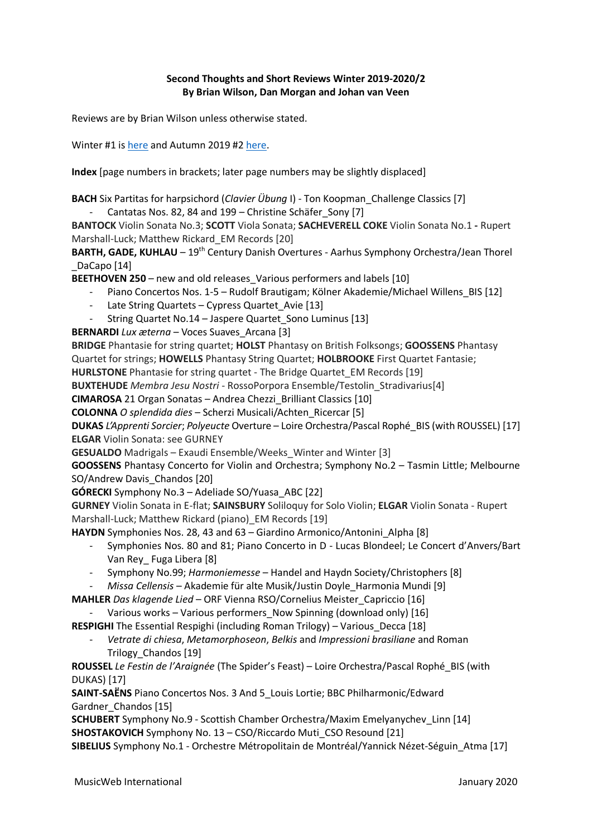### **Second Thoughts and Short Reviews Winter 2019-2020/2 By Brian Wilson, Dan Morgan and Johan van Veen**

Reviews are by Brian Wilson unless otherwise stated.

Winter #1 i[s here](http://musicweb-international.com/classrev/2019/Dec/Winter_2019_1.pdf) and Autumn 2019 #2 [here.](http://musicweb-international.com/classrev/2019/Nov/Autumn_2019_2.pdf)

**Index** [page numbers in brackets; later page numbers may be slightly displaced]

**BACH** Six Partitas for harpsichord (*Clavier Übung* I) - Ton Koopman\_Challenge Classics [7] Cantatas Nos. 82, 84 and 199 – Christine Schäfer Sony [7]

**BANTOCK** Violin Sonata No.3; **SCOTT** Viola Sonata; **SACHEVERELL COKE** Violin Sonata No.1 **-** Rupert Marshall-Luck; Matthew Rickard\_EM Records [20]

**BARTH, GADE, KUHLAU** - 19<sup>th</sup> Century Danish Overtures - Aarhus Symphony Orchestra/Jean Thorel DaCapo [14]

**BEETHOVEN 250** – new and old releases Various performers and labels [10]

- Piano Concertos Nos. 1-5 Rudolf Brautigam; Kölner Akademie/Michael Willens\_BIS [12]
- Late String Quartets Cypress Quartet\_Avie [13]
- String Quartet No.14 Jaspere Quartet\_Sono Luminus [13]

**BERNARDI** *Lux æterna* – Voces Suaves\_Arcana [3]

**BRIDGE** Phantasie for string quartet; **HOLST** Phantasy on British Folksongs; **GOOSSENS** Phantasy Quartet for strings; **HOWELLS** Phantasy String Quartet; **HOLBROOKE** First Quartet Fantasie;

**HURLSTONE** Phantasie for string quartet - The Bridge Quartet EM Records [19]

**BUXTEHUDE** *Membra Jesu Nostri* - RossoPorpora Ensemble/Testolin\_Stradivarius[4]

**CIMAROSA** 21 Organ Sonatas – Andrea Chezzi\_Brilliant Classics [10]

**COLONNA** *O splendida dies* – Scherzi Musicali/Achten\_Ricercar [5]

**DUKAS** *L'Apprenti Sorcier*; *Polyeucte* Overture – Loire Orchestra/Pascal Rophé\_BIS (with ROUSSEL) [17] **ELGAR** Violin Sonata: see GURNEY

**GESUALDO** Madrigals – Exaudi Ensemble/Weeks\_Winter and Winter [3]

**GOOSSENS** Phantasy Concerto for Violin and Orchestra; Symphony No.2 – Tasmin Little; Melbourne SO/Andrew Davis\_Chandos [20]

**GÓRECKI** Symphony No.3 – Adeliade SO/Yuasa\_ABC [22]

**GURNEY** Violin Sonata in E-flat; **SAINSBURY** Soliloquy for Solo Violin; **ELGAR** Violin Sonata - Rupert Marshall-Luck: Matthew Rickard (piano) EM Records [19]

**HAYDN** Symphonies Nos. 28, 43 and 63 – Giardino Armonico/Antonini\_Alpha [8]

- Symphonies Nos. 80 and 81; Piano Concerto in D Lucas Blondeel; Le Concert d'Anvers/Bart Van Rey\_ Fuga Libera [8]
- Symphony No.99; *Harmoniemesse* Handel and Haydn Society/Christophers [8]
- *Missa Cellensis* Akademie für alte Musik/Justin Doyle\_Harmonia Mundi [9]

**MAHLER** *Das klagende Lied* – ORF Vienna RSO/Cornelius Meister\_Capriccio [16]

Various works – Various performers Now Spinning (download only) [16]

**RESPIGHI** The Essential Respighi (including Roman Trilogy) – Various Decca [18]

- *Vetrate di chiesa*, *Metamorphoseon*, *Belkis* and *Impressioni brasiliane* and Roman Trilogy\_Chandos [19]

**ROUSSEL** *Le Festin de l'Araignée* (The Spider's Feast) – Loire Orchestra/Pascal Rophé\_BIS (with DUKAS) [17]

**SAINT-SAËNS** Piano Concertos Nos. 3 And 5\_Louis Lortie; BBC Philharmonic/Edward Gardner\_Chandos [15]

**SCHUBERT** Symphony No.9 - Scottish Chamber Orchestra/Maxim Emelyanychev\_Linn [14] **SHOSTAKOVICH** Symphony No. 13 - CSO/Riccardo Muti CSO Resound [21]

**SIBELIUS** Symphony No.1 - Orchestre Métropolitain de Montréal/Yannick Nézet-Séguin\_Atma [17]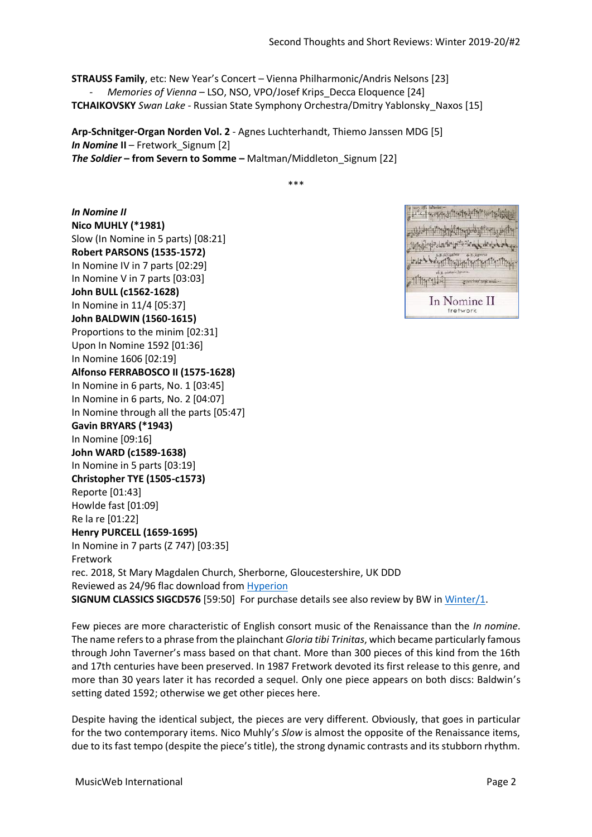**STRAUSS Family**, etc: New Year's Concert – Vienna Philharmonic/Andris Nelsons [23] *Memories of Vienna* - LSO, NSO, VPO/Josef Krips\_Decca Eloquence [24] **TCHAIKOVSKY** *Swan Lake* - Russian State Symphony Orchestra/Dmitry Yablonsky\_Naxos [15]

\*\*\*

**Arp-Schnitger-Organ Norden Vol. 2** - Agnes Luchterhandt, Thiemo Janssen MDG [5] *In Nomine* II – Fretwork Signum [2] *The Soldier* **– from Severn to Somme –** Maltman/Middleton\_Signum [22]

*In Nomine II* **Nico MUHLY (\*1981)** Slow (In Nomine in 5 parts) [08:21] **Robert PARSONS (1535-1572)** In Nomine IV in 7 parts [02:29] In Nomine V in 7 parts [03:03] **John BULL (c1562-1628)** In Nomine in 11/4 [05:37] **John BALDWIN (1560-1615)** Proportions to the minim [02:31] Upon In Nomine 1592 [01:36] In Nomine 1606 [02:19] **Alfonso FERRABOSCO II (1575-1628)** In Nomine in 6 parts, No. 1 [03:45] In Nomine in 6 parts, No. 2 [04:07] In Nomine through all the parts [05:47] **Gavin BRYARS (\*1943)** In Nomine [09:16] **John WARD (c1589-1638)** In Nomine in 5 parts [03:19] **Christopher TYE (1505-c1573)** Reporte [01:43] Howlde fast [01:09] Re la re [01:22] **Henry PURCELL (1659-1695)** In Nomine in 7 parts (Z 747) [03:35] Fretwork rec. 2018, St Mary Magdalen Church, Sherborne, Gloucestershire, UK DDD

In Nomine II fretwork

Reviewed as 24/96 flac download from [Hyperion](https://www.hyperion-records.co.uk/dc.asp?dc=D_SIGCD576) **SIGNUM CLASSICS SIGCD576** [59:50] For purchase details see also review by BW i[n Winter/1.](http://musicweb-international.com/classrev/2019/Dec/Winter_2019_1.pdf)

Few pieces are more characteristic of English consort music of the Renaissance than the *In nomine*. The name refers to a phrase from the plainchant *Gloria tibi Trinitas*, which became particularly famous through John Taverner's mass based on that chant. More than 300 pieces of this kind from the 16th and 17th centuries have been preserved. In 1987 Fretwork devoted its first release to this genre, and more than 30 years later it has recorded a sequel. Only one piece appears on both discs: Baldwin's setting dated 1592; otherwise we get other pieces here.

Despite having the identical subject, the pieces are very different. Obviously, that goes in particular for the two contemporary items. Nico Muhly's *Slow* is almost the opposite of the Renaissance items, due to its fast tempo (despite the piece's title), the strong dynamic contrasts and its stubborn rhythm.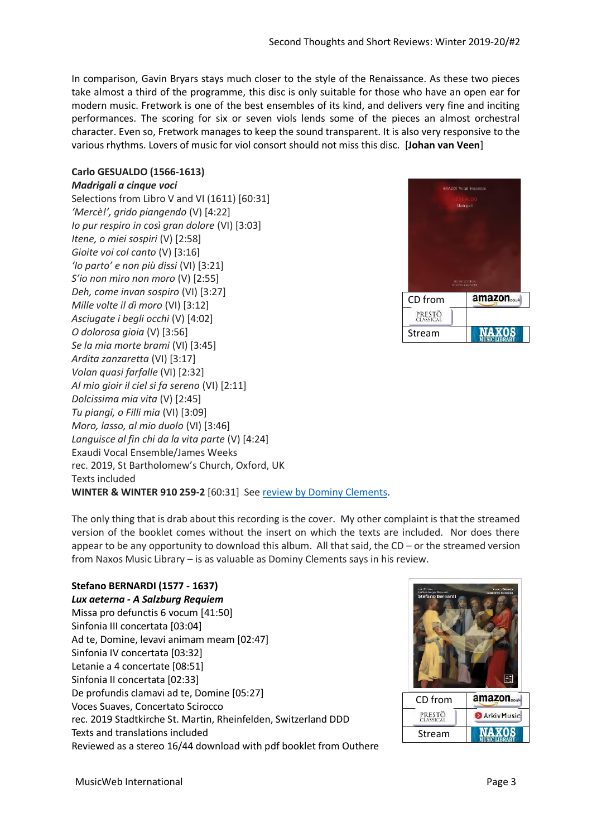In comparison, Gavin Bryars stays much closer to the style of the Renaissance. As these two pieces take almost a third of the programme, this disc is only suitable for those who have an open ear for modern music. Fretwork is one of the best ensembles of its kind, and delivers very fine and inciting performances. The scoring for six or seven viols lends some of the pieces an almost orchestral character. Even so, Fretwork manages to keep the sound transparent. It is also very responsive to the various rhythms. Lovers of music for viol consort should not miss this disc. [**Johan van Veen**]

## **Carlo GESUALDO (1566-1613)**

#### *Madrigali a cinque voci*

Selections from Libro V and VI (1611) [60:31] *'Mercè!', grido piangendo* (V) [4:22] *Io pur respiro in così gran dolore* (VI) [3:03] *Itene, o miei sospiri* (V) [2:58] *Gioite voi col canto* (V) [3:16] *'Io parto' e non più dissi* (VI) [3:21] *S'io non miro non moro* (V) [2:55] *Deh, come invan sospiro* (VI) [3:27] *Mille volte il dì moro* (VI) [3:12] *Asciugate i begli occhi* (V) [4:02] *O dolorosa gioia* (V) [3:56] *Se la mia morte brami* (VI) [3:45] *Ardita zanzaretta* (VI) [3:17] *Volan quasi farfalle* (VI) [2:32] *Al mio gioir il ciel si fa sereno* (VI) [2:11] *Dolcissima mia vita* (V) [2:45] *Tu piangi, o Filli mia* (VI) [3:09] *Moro, lasso, al mio duolo* (VI) [3:46] *Languisce al fin chi da la vita parte* (V) [4:24] Exaudi Vocal Ensemble/James Weeks rec. 2019, St Bartholomew's Church, Oxford, UK Texts included **WINTER & WINTER 910 259-2** [60:31] See [review by Dominy Clements.](http://www.musicweb-international.com/classrev/2019/Oct/Gesualdo_madrigals_9102592.htm)



The only thing that is drab about this recording is the cover. My other complaint is that the streamed version of the booklet comes without the insert on which the texts are included. Nor does there appear to be any opportunity to download this album. All that said, the CD – or the streamed version from Naxos Music Library – is as valuable as Dominy Clements says in his review.

### **Stefano BERNARDI (1577 - 1637)**

*Lux aeterna - A Salzburg Requiem*

Missa pro defunctis 6 vocum [41:50] Sinfonia III concertata [03:04] Ad te, Domine, levavi animam meam [02:47] Sinfonia IV concertata [03:32] Letanie a 4 concertate [08:51] Sinfonia II concertata [02:33] De profundis clamavi ad te, Domine [05:27] Voces Suaves, Concertato Scirocco rec. 2019 Stadtkirche St. Martin, Rheinfelden, Switzerland DDD Texts and translations included Reviewed as a stereo 16/44 download with pdf booklet from Outhere

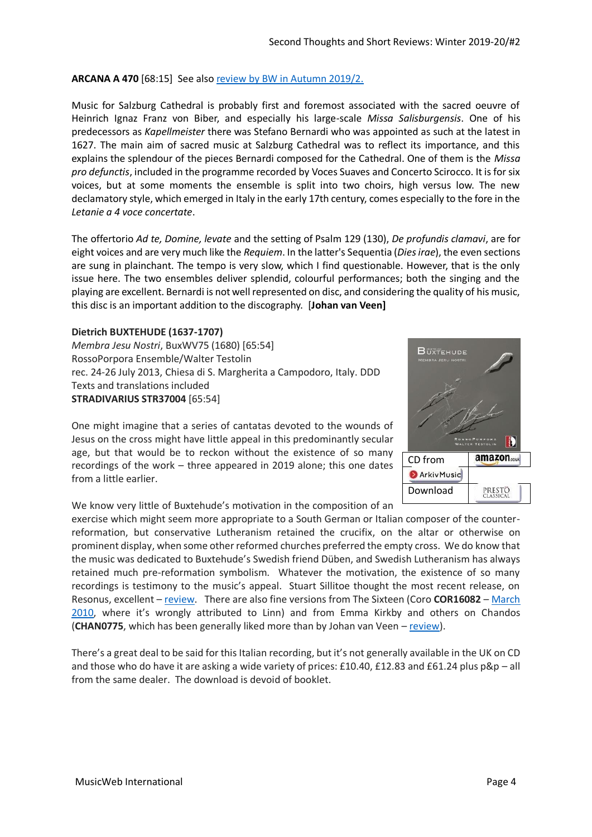### **ARCANA A 470** [68:15] See also [review by BW in Autumn 2019/2.](http://www.musicweb-international.com/classrev/2019/Nov/Autumn_2019_2.pdf)

Music for Salzburg Cathedral is probably first and foremost associated with the sacred oeuvre of Heinrich Ignaz Franz von Biber, and especially his large-scale *Missa Salisburgensis*. One of his predecessors as *Kapellmeister* there was Stefano Bernardi who was appointed as such at the latest in 1627. The main aim of sacred music at Salzburg Cathedral was to reflect its importance, and this explains the splendour of the pieces Bernardi composed for the Cathedral. One of them is the *Missa pro defunctis*, included in the programme recorded by Voces Suaves and Concerto Scirocco. It is for six voices, but at some moments the ensemble is split into two choirs, high versus low. The new declamatory style, which emerged in Italy in the early 17th century, comes especially to the fore in the *Letanie a 4 voce concertate*.

The offertorio *Ad te, Domine, levate* and the setting of Psalm 129 (130), *De profundis clamavi*, are for eight voices and are very much like the *Requiem*. In the latter's Sequentia (*Dies irae*), the even sections are sung in plainchant. The tempo is very slow, which I find questionable. However, that is the only issue here. The two ensembles deliver splendid, colourful performances; both the singing and the playing are excellent. Bernardi is not well represented on disc, and considering the quality of his music, this disc is an important addition to the discography. [**Johan van Veen]**

### **Dietrich BUXTEHUDE (1637-1707)**

*Membra Jesu Nostri*, BuxWV75 (1680) [65:54] RossoPorpora Ensemble/Walter Testolin rec. 24-26 July 2013, Chiesa di S. Margherita a Campodoro, Italy. DDD Texts and translations included **STRADIVARIUS STR37004** [65:54]

One might imagine that a series of cantatas devoted to the wounds of Jesus on the cross might have little appeal in this predominantly secular age, but that would be to reckon without the existence of so many recordings of the work – three appeared in 2019 alone; this one dates from a little earlier.

We know very little of Buxtehude's motivation in the composition of an

exercise which might seem more appropriate to a South German or Italian composer of the counterreformation, but conservative Lutheranism retained the crucifix, on the altar or otherwise on prominent display, when some other reformed churches preferred the empty cross. We do know that the music was dedicated to Buxtehude's Swedish friend Düben, and Swedish Lutheranism has always retained much pre-reformation symbolism. Whatever the motivation, the existence of so many recordings is testimony to the music's appeal. Stuart Sillitoe thought the most recent release, on Resonus, excellent – [review.](http://www.musicweb-international.com/classrev/2019/Apr/Buxtehude_Membra_RES10238.htm) There are also fine versions from The Sixteen (Coro **COR16082** – [March](http://www.musicweb-international.com/classrev/2010/Mar10/March_Download_Roundup.htm)  [2010](http://www.musicweb-international.com/classrev/2010/Mar10/March_Download_Roundup.htm), where it's wrongly attributed to Linn) and from Emma Kirkby and others on Chandos (**CHAN0775**, which has been generally liked more than by Johan van Veen – [review\)](http://www.musicweb-international.com/classrev/2011/Mar11/Buxtehude_chan0775.htm).

There's a great deal to be said for this Italian recording, but it's not generally available in the UK on CD and those who do have it are asking a wide variety of prices: £10.40, £12.83 and £61.24 plus p&p – all from the same dealer. The download is devoid of booklet.

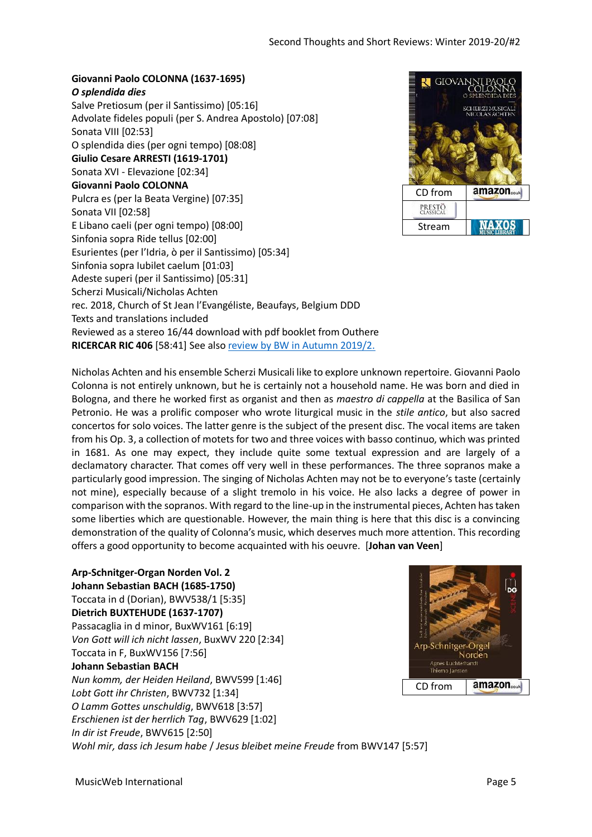## **Giovanni Paolo COLONNA (1637-1695)** *O splendida dies* Salve Pretiosum (per il Santissimo) [05:16] Advolate fideles populi (per S. Andrea Apostolo) [07:08] Sonata VIII [02:53] O splendida dies (per ogni tempo) [08:08] **Giulio Cesare ARRESTI (1619-1701)** Sonata XVI - Elevazione [02:34] **Giovanni Paolo COLONNA** Pulcra es (per la Beata Vergine) [07:35] Sonata VII [02:58] E Libano caeli (per ogni tempo) [08:00] Sinfonia sopra Ride tellus [02:00] Esurientes (per l'Idria, ò per il Santissimo) [05:34] Sinfonia sopra Iubilet caelum [01:03] Adeste superi (per il Santissimo) [05:31] Scherzi Musicali/Nicholas Achten rec. 2018, Church of St Jean l'Evangéliste, Beaufays, Belgium DDD Texts and translations included Reviewed as a stereo 16/44 download with pdf booklet from Outhere **RICERCAR RIC 406** [58:41] See als[o review by BW in Autumn 2019/2.](http://www.musicweb-international.com/classrev/2019/Nov/Autumn_2019_2.pdf)



Nicholas Achten and his ensemble Scherzi Musicali like to explore unknown repertoire. Giovanni Paolo Colonna is not entirely unknown, but he is certainly not a household name. He was born and died in Bologna, and there he worked first as organist and then as *maestro di cappella* at the Basilica of San Petronio. He was a prolific composer who wrote liturgical music in the *stile antico*, but also sacred concertos for solo voices. The latter genre is the subject of the present disc. The vocal items are taken from his Op. 3, a collection of motets for two and three voices with basso continuo, which was printed in 1681. As one may expect, they include quite some textual expression and are largely of a declamatory character. That comes off very well in these performances. The three sopranos make a particularly good impression. The singing of Nicholas Achten may not be to everyone's taste (certainly not mine), especially because of a slight tremolo in his voice. He also lacks a degree of power in comparison with the sopranos. With regard to the line-up in the instrumental pieces, Achten has taken some liberties which are questionable. However, the main thing is here that this disc is a convincing demonstration of the quality of Colonna's music, which deserves much more attention. This recording offers a good opportunity to become acquainted with his oeuvre. [**Johan van Veen**]

**Arp-Schnitger-Organ Norden Vol. 2 Johann Sebastian BACH (1685-1750)** Toccata in d (Dorian), BWV538/1 [5:35] **Dietrich BUXTEHUDE (1637-1707)**  Passacaglia in d minor, BuxWV161 [6:19] *Von Gott will ich nicht lassen*, BuxWV 220 [2:34] Toccata in F, BuxWV156 [7:56] **Johann Sebastian BACH** *Nun komm, der Heiden Heiland*, BWV599 [1:46] *Lobt Gott ihr Christen*, BWV732 [1:34] *O Lamm Gottes unschuldig*, BWV618 [3:57] *Erschienen ist der herrlich Tag*, BWV629 [1:02] *In dir ist Freude*, BWV615 [2:50] *Wohl mir, dass ich Jesum habe* / *Jesus bleibet meine Freude* from BWV147 [5:57]

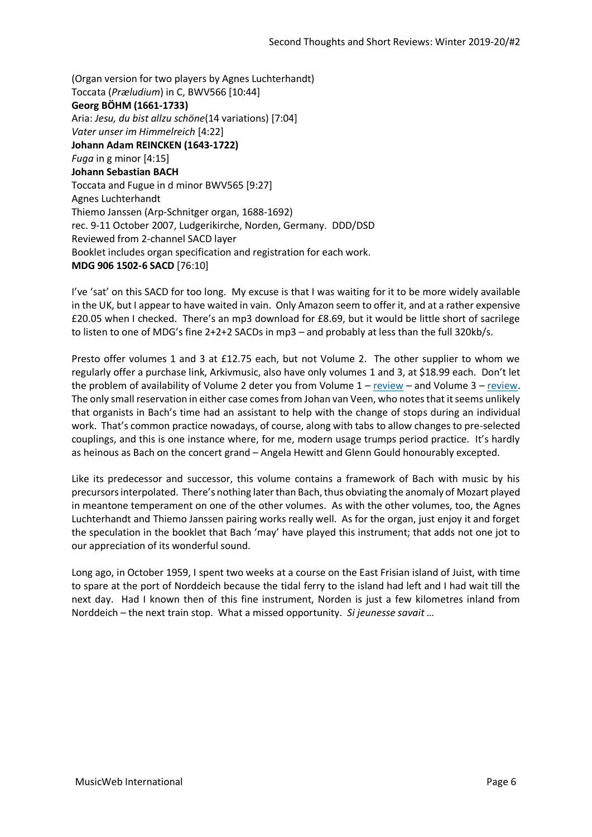(Organ version for two players by Agnes Luchterhandt) Toccata (*Præludium*) in C, BWV566 [10:44] **Georg BÖHM (1661-1733)** Aria: *Jesu, du bist allzu schöne*(14 variations) [7:04] *Vater unser im Himmelreich* [4:22] **Johann Adam REINCKEN (1643-1722)** *Fuga* in g minor [4:15] **Johann Sebastian BACH** Toccata and Fugue in d minor BWV565 [9:27] Agnes Luchterhandt Thiemo Janssen (Arp-Schnitger organ, 1688-1692) rec. 9-11 October 2007, Ludgerikirche, Norden, Germany. DDD/DSD Reviewed from 2-channel SACD layer Booklet includes organ specification and registration for each work. **MDG 906 1502-6 SACD** [76:10]

I've 'sat' on this SACD for too long. My excuse is that I was waiting for it to be more widely available in the UK, but I appear to have waited in vain. Only Amazon seem to offer it, and at a rather expensive £20.05 when I checked. There's an mp3 download for £8.69, but it would be little short of sacrilege to listen to one of MDG's fine 2+2+2 SACDs in mp3 – and probably at less than the full 320kb/s.

Presto offer volumes 1 and 3 at £12.75 each, but not Volume 2. The other supplier to whom we regularly offer a purchase link, Arkivmusic, also have only volumes 1 and 3, at \$18.99 each. Don't let the problem of availability of Volume 2 deter you from Volume  $1 -$  [review](http://www.musicweb-international.com/classrev/2006/Mar06/Arpe_MDG9061363-6.htm) – and Volume  $3 -$  [review.](http://www.musicweb-international.com/classrev/2013/Jan13/Schnitger_v3_90617536.htm) The only small reservation in either case comes from Johan van Veen, who notes that it seems unlikely that organists in Bach's time had an assistant to help with the change of stops during an individual work. That's common practice nowadays, of course, along with tabs to allow changes to pre-selected couplings, and this is one instance where, for me, modern usage trumps period practice. It's hardly as heinous as Bach on the concert grand – Angela Hewitt and Glenn Gould honourably excepted.

Like its predecessor and successor, this volume contains a framework of Bach with music by his precursorsinterpolated. There's nothing later than Bach, thus obviating the anomaly of Mozart played in meantone temperament on one of the other volumes. As with the other volumes, too, the Agnes Luchterhandt and Thiemo Janssen pairing works really well. As for the organ, just enjoy it and forget the speculation in the booklet that Bach 'may' have played this instrument; that adds not one jot to our appreciation of its wonderful sound.

Long ago, in October 1959, I spent two weeks at a course on the East Frisian island of Juist, with time to spare at the port of Norddeich because the tidal ferry to the island had left and I had wait till the next day. Had I known then of this fine instrument, Norden is just a few kilometres inland from Norddeich – the next train stop. What a missed opportunity. *Si jeunesse savait …*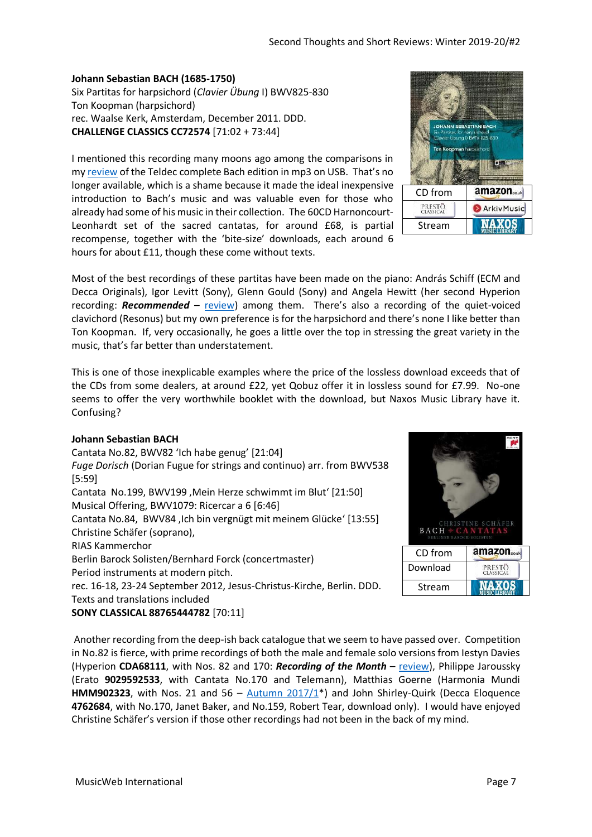**Johann Sebastian BACH (1685-1750)** Six Partitas for harpsichord (*Clavier Übung* I) BWV825-830 Ton Koopman (harpsichord) rec. Waalse Kerk, Amsterdam, December 2011. DDD. **CHALLENGE CLASSICS CC72574** [71:02 + 73:44]

I mentioned this recording many moons ago among the comparisons in my [review](http://www.musicweb-international.com/classrev/2013/Apr13/Bach_collection_2564661127.htm) of the Teldec complete Bach edition in mp3 on USB. That's no longer available, which is a shame because it made the ideal inexpensive introduction to Bach's music and was valuable even for those who already had some of his music in their collection. The 60CD Harnoncourt-Leonhardt set of the sacred cantatas, for around £68, is partial recompense, together with the 'bite-size' downloads, each around 6 hours for about £11, though these come without texts.



Most of the best recordings of these partitas have been made on the piano: András Schiff (ECM and Decca Originals), Igor Levitt (Sony), Glenn Gould (Sony) and Angela Hewitt (her second Hyperion recording: **Recommended** – [review](http://musicweb-international.com/classrev/2020/Jan/Bach_partitas_CDA68271.html)) among them. There's also a recording of the quiet-voiced clavichord (Resonus) but my own preference is for the harpsichord and there's none I like better than Ton Koopman. If, very occasionally, he goes a little over the top in stressing the great variety in the music, that's far better than understatement.

This is one of those inexplicable examples where the price of the lossless download exceeds that of the CDs from some dealers, at around £22, yet Qobuz offer it in lossless sound for £7.99. No-one seems to offer the very worthwhile booklet with the download, but Naxos Music Library have it. Confusing?

## **Johann Sebastian BACH**

Cantata No.82, BWV82 'Ich habe genug' [21:04] *Fuge Dorisch* (Dorian Fugue for strings and continuo) arr. from BWV538 [5:59] Cantata No.199, BWV199, Mein Herze schwimmt im Blut' [21:50] Musical Offering, BWV1079: Ricercar a 6 [6:46] Cantata No.84, BWV84 . Ich bin vergnügt mit meinem Glücke' [13:55] Christine Schäfer (soprano), RIAS Kammerchor Berlin Barock Solisten/Bernhard Forck (concertmaster) Period instruments at modern pitch. rec. 16-18, 23-24 September 2012, Jesus-Christus-Kirche, Berlin. DDD. Texts and translations included **SONY CLASSICAL 88765444782** [70:11]



Another recording from the deep-ish back catalogue that we seem to have passed over. Competition in No.82 is fierce, with prime recordings of both the male and female solo versions from Iestyn Davies (Hyperion **CDA68111**, with Nos. 82 and 170: *Recording of the Month* – [review\)](http://musicweb-international.com/classrev/2017/Jan/Bach_cantatas_CDA68111.htm), Philippe Jaroussky (Erato **9029592533**, with Cantata No.170 and Telemann), Matthias Goerne (Harmonia Mundi **HMM902323**, with Nos. 21 and 56 – [Autumn 2017/1\\*](http://www.musicweb-international.com/classrev/2017/Sep/Autumn_2017_1.pdf)) and John Shirley-Quirk (Decca Eloquence **4762684**, with No.170, Janet Baker, and No.159, Robert Tear, download only). I would have enjoyed Christine Schäfer's version if those other recordings had not been in the back of my mind.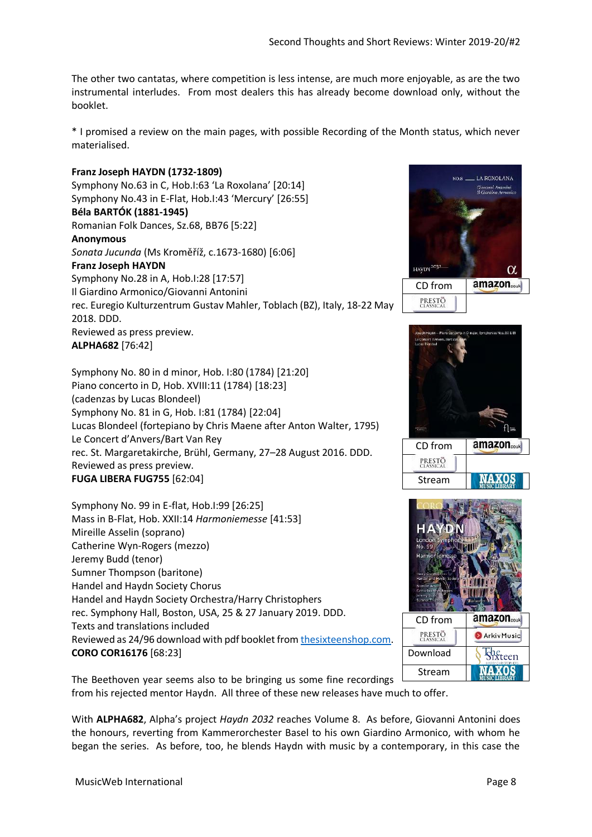The other two cantatas, where competition is less intense, are much more enjoyable, as are the two instrumental interludes. From most dealers this has already become download only, without the booklet.

\* I promised a review on the main pages, with possible Recording of the Month status, which never materialised.

## **Franz Joseph HAYDN (1732-1809)**  Symphony No.63 in C, Hob.I:63 'La Roxolana' [20:14] Symphony No.43 in E-Flat, Hob.I:43 'Mercury' [26:55] **Béla BARTÓK (1881-1945)**  Romanian Folk Dances, Sz.68, BB76 [5:22] **Anonymous**  *Sonata Jucunda* (Ms Kroměříž, c.1673-1680) [6:06] **Franz Joseph HAYDN**  Symphony No.28 in A, Hob.I:28 [17:57] Il Giardino Armonico/Giovanni Antonini rec. Euregio Kulturzentrum Gustav Mahler, Toblach (BZ), Italy, 18-22 May 2018. DDD. Reviewed as press preview. **ALPHA682** [76:42]

Symphony No. 80 in d minor, Hob. I:80 (1784) [21:20] Piano concerto in D, Hob. XVIII:11 (1784) [18:23] (cadenzas by Lucas Blondeel) Symphony No. 81 in G, Hob. I:81 (1784) [22:04] Lucas Blondeel (fortepiano by Chris Maene after Anton Walter, 1795) Le Concert d'Anvers/Bart Van Rey rec. St. Margaretakirche, Brühl, Germany, 27–28 August 2016. DDD. Reviewed as press preview. **FUGA LIBERA FUG755** [62:04]

Symphony No. 99 in E-flat, Hob.I:99 [26:25] Mass in B-Flat, Hob. XXII:14 *Harmoniemesse* [41:53] Mireille Asselin (soprano) Catherine Wyn-Rogers (mezzo) Jeremy Budd (tenor) Sumner Thompson (baritone) Handel and Haydn Society Chorus Handel and Haydn Society Orchestra/Harry Christophers rec. Symphony Hall, Boston, USA, 25 & 27 January 2019. DDD. Texts and translations included Reviewed as 24/96 download with pdf booklet fro[m thesixteenshop.com.](https://thesixteenshop.com/products/haydn-london-symphony-no-99-and-harmoniemesse?_pos=7&_sid=0dd7d8c20&_ss=r) **CORO COR16176** [68:23]





Stream



The Beethoven year seems also to be bringing us some fine recordings from his rejected mentor Haydn. All three of these new releases have much to offer.

With **ALPHA682**, Alpha's project *Haydn 2032* reaches Volume 8. As before, Giovanni Antonini does the honours, reverting from Kammerorchester Basel to his own Giardino Armonico, with whom he began the series. As before, too, he blends Haydn with music by a contemporary, in this case the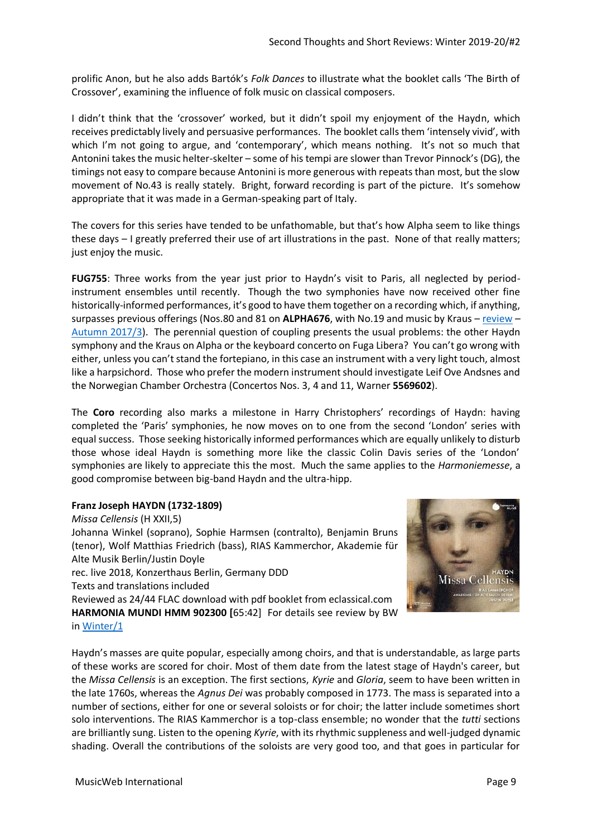prolific Anon, but he also adds Bartók's *Folk Dances* to illustrate what the booklet calls 'The Birth of Crossover', examining the influence of folk music on classical composers.

I didn't think that the 'crossover' worked, but it didn't spoil my enjoyment of the Haydn, which receives predictably lively and persuasive performances. The booklet calls them 'intensely vivid', with which I'm not going to argue, and 'contemporary', which means nothing. It's not so much that Antonini takes the music helter-skelter – some of his tempi are slower than Trevor Pinnock's (DG), the timings not easy to compare because Antonini is more generous with repeats than most, but the slow movement of No.43 is really stately. Bright, forward recording is part of the picture. It's somehow appropriate that it was made in a German-speaking part of Italy.

The covers for this series have tended to be unfathomable, but that's how Alpha seem to like things these days – I greatly preferred their use of art illustrations in the past. None of that really matters; just enjoy the music.

**FUG755**: Three works from the year just prior to Haydn's visit to Paris, all neglected by periodinstrument ensembles until recently. Though the two symphonies have now received other fine historically-informed performances, it's good to have them together on a recording which, if anything, surpasses previous offerings (Nos.80 and 81 on **ALPHA676**, with No.19 and music by Kraus – [review](http://www.musicweb-international.com/classrev/2018/Apr/Haydn_sys_v5_676.htm) – [Autumn 2017/3\)](http://www.musicweb-international.com/classrev/2017/Nov/Autumn_2017_3.pdf). The perennial question of coupling presents the usual problems: the other Haydn symphony and the Kraus on Alpha or the keyboard concerto on Fuga Libera? You can't go wrong with either, unless you can't stand the fortepiano, in this case an instrument with a very light touch, almost like a harpsichord. Those who prefer the modern instrument should investigate Leif Ove Andsnes and the Norwegian Chamber Orchestra (Concertos Nos. 3, 4 and 11, Warner **5569602**).

The **Coro** recording also marks a milestone in Harry Christophers' recordings of Haydn: having completed the 'Paris' symphonies, he now moves on to one from the second 'London' series with equal success. Those seeking historically informed performances which are equally unlikely to disturb those whose ideal Haydn is something more like the classic Colin Davis series of the 'London' symphonies are likely to appreciate this the most. Much the same applies to the *Harmoniemesse*, a good compromise between big-band Haydn and the ultra-hipp.

### **Franz Joseph HAYDN (1732-1809)**

*Missa Cellensis* (H XXII,5) Johanna Winkel (soprano), Sophie Harmsen (contralto), Benjamin Bruns (tenor), Wolf Matthias Friedrich (bass), RIAS Kammerchor, Akademie für Alte Musik Berlin/Justin Doyle rec. live 2018, Konzerthaus Berlin, Germany DDD Texts and translations included Reviewed as 24/44 FLAC download with pdf booklet from eclassical.com **HARMONIA MUNDI HMM 902300 [**65:42] For details see review by BW in [Winter/1](http://musicweb-international.com/classrev/2019/Dec/Winter_2019_1.pdf)



Haydn's masses are quite popular, especially among choirs, and that is understandable, as large parts of these works are scored for choir. Most of them date from the latest stage of Haydn's career, but the *Missa Cellensis* is an exception. The first sections, *Kyrie* and *Gloria*, seem to have been written in the late 1760s, whereas the *Agnus Dei* was probably composed in 1773. The mass is separated into a number of sections, either for one or several soloists or for choir; the latter include sometimes short solo interventions. The RIAS Kammerchor is a top-class ensemble; no wonder that the *tutti* sections are brilliantly sung. Listen to the opening *Kyrie*, with its rhythmic suppleness and well-judged dynamic shading. Overall the contributions of the soloists are very good too, and that goes in particular for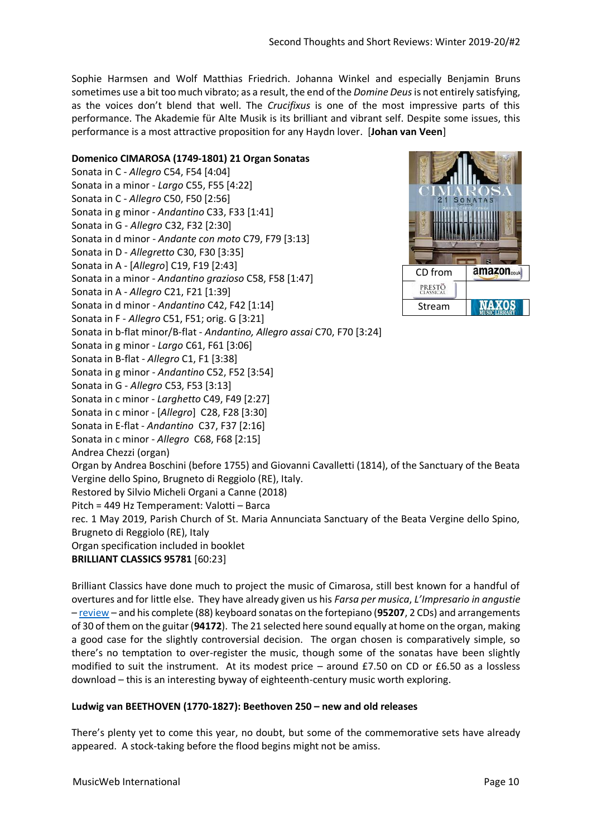Sophie Harmsen and Wolf Matthias Friedrich. Johanna Winkel and especially Benjamin Bruns sometimes use a bit too much vibrato; as a result, the end of the *Domine Deus*is not entirely satisfying, as the voices don't blend that well. The *Crucifixus* is one of the most impressive parts of this performance. The Akademie für Alte Musik is its brilliant and vibrant self. Despite some issues, this performance is a most attractive proposition for any Haydn lover. [**Johan van Veen**]

### **Domenico CIMAROSA (1749-1801) 21 Organ Sonatas**

Sonata in C - *Allegro* C54, F54 [4:04] Sonata in a minor - *Largo* C55, F55 [4:22] Sonata in C - *Allegro* C50, F50 [2:56] Sonata in g minor - *Andantino* C33, F33 [1:41] Sonata in G - *Allegro* C32, F32 [2:30] Sonata in d minor - *Andante con moto* C79, F79 [3:13] Sonata in D - *Allegretto* C30, F30 [3:35] Sonata in A - [*Allegro*] C19, F19 [2:43] CD from Sonata in a minor - *Andantino grazioso* C58, F58 [1:47] PRESTO Sonata in A - *Allegro* C21, F21 [1:39] Sonata in d minor - *Andantino* C42, F42 [1:14] StreamSonata in F - *Allegro* C51, F51; orig. G [3:21] Sonata in b-flat minor/B-flat - *Andantino, Allegro assai* C70, F70 [3:24] Sonata in g minor - *Largo* C61, F61 [3:06] Sonata in B-flat - *Allegro* C1, F1 [3:38] Sonata in g minor - *Andantino* C52, F52 [3:54] Sonata in G - *Allegro* C53, F53 [3:13] Sonata in c minor - *Larghetto* C49, F49 [2:27] Sonata in c minor - [*Allegro*] C28, F28 [3:30] Sonata in E-flat - *Andantino* C37, F37 [2:16] Sonata in c minor - *Allegro* C68, F68 [2:15] Andrea Chezzi (organ) Organ by Andrea Boschini (before 1755) and Giovanni Cavalletti (1814), of the Sanctuary of the Beata Vergine dello Spino, Brugneto di Reggiolo (RE), Italy. Restored by Silvio Micheli Organi a Canne (2018) Pitch = 449 Hz Temperament: Valotti – Barca rec. 1 May 2019, Parish Church of St. Maria Annunciata Sanctuary of the Beata Vergine dello Spino, Brugneto di Reggiolo (RE), Italy Organ specification included in booklet **BRILLIANT CLASSICS 95781** [60:23]

Brilliant Classics have done much to project the music of Cimarosa, still best known for a handful of overtures and for little else. They have already given us his *Farsa per musica*, *L'Impresario in angustie* – [review](http://www.musicweb-international.com/classrev/2019/Feb/Cimarosa_impresario_95746.htm) – and his complete (88) keyboard sonatas on the fortepiano (**95207**, 2 CDs) and arrangements of 30 of them on the guitar (**94172**). The 21 selected here sound equally at home on the organ, making a good case for the slightly controversial decision. The organ chosen is comparatively simple, so there's no temptation to over-register the music, though some of the sonatas have been slightly modified to suit the instrument. At its modest price – around £7.50 on CD or £6.50 as a lossless download – this is an interesting byway of eighteenth-century music worth exploring.

## **Ludwig van BEETHOVEN (1770-1827): Beethoven 250 – new and old releases**

There's plenty yet to come this year, no doubt, but some of the commemorative sets have already appeared. A stock-taking before the flood begins might not be amiss.

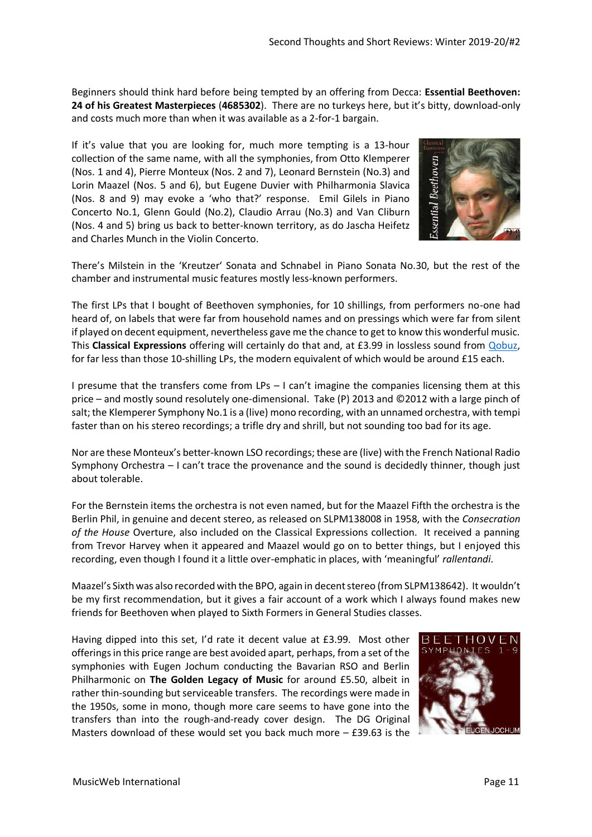Beginners should think hard before being tempted by an offering from Decca: **Essential Beethoven: 24 of his Greatest Masterpieces** (**4685302**). There are no turkeys here, but it's bitty, download-only and costs much more than when it was available as a 2-for-1 bargain.

If it's value that you are looking for, much more tempting is a 13-hour collection of the same name, with all the symphonies, from Otto Klemperer (Nos. 1 and 4), Pierre Monteux (Nos. 2 and 7), Leonard Bernstein (No.3) and Lorin Maazel (Nos. 5 and 6), but Eugene Duvier with Philharmonia Slavica (Nos. 8 and 9) may evoke a 'who that?' response. Emil Gilels in Piano Concerto No.1, Glenn Gould (No.2), Claudio Arrau (No.3) and Van Cliburn (Nos. 4 and 5) bring us back to better-known territory, as do Jascha Heifetz and Charles Munch in the Violin Concerto.



There's Milstein in the 'Kreutzer' Sonata and Schnabel in Piano Sonata No.30, but the rest of the chamber and instrumental music features mostly less-known performers.

The first LPs that I bought of Beethoven symphonies, for 10 shillings, from performers no-one had heard of, on labels that were far from household names and on pressings which were far from silent if played on decent equipment, nevertheless gave me the chance to get to know this wonderful music. This **Classical Expressions** offering will certainly do that and, at £3.99 in lossless sound from [Qobuz,](https://www.qobuz.com/gb-en/album/essential-beethoven-the-complete-symphonies-plus-the-best-concertos-overtures-sonatas-quartets-of-ludwig-van-beethoven-various-artists/0888002460318) for far less than those 10-shilling LPs, the modern equivalent of which would be around £15 each.

I presume that the transfers come from LPs – I can't imagine the companies licensing them at this price – and mostly sound resolutely one-dimensional. Take (P) 2013 and ©2012 with a large pinch of salt; the Klemperer Symphony No.1 is a (live) mono recording, with an unnamed orchestra, with tempi faster than on his stereo recordings; a trifle dry and shrill, but not sounding too bad for its age.

Nor are these Monteux's better-known LSO recordings; these are (live) with the French National Radio Symphony Orchestra – I can't trace the provenance and the sound is decidedly thinner, though just about tolerable.

For the Bernstein items the orchestra is not even named, but for the Maazel Fifth the orchestra is the Berlin Phil, in genuine and decent stereo, as released on SLPM138008 in 1958, with the *Consecration of the House* Overture, also included on the Classical Expressions collection. It received a panning from Trevor Harvey when it appeared and Maazel would go on to better things, but I enjoyed this recording, even though I found it a little over-emphatic in places, with 'meaningful' *rallentandi*.

Maazel's Sixth was also recorded with the BPO, again in decent stereo (from SLPM138642). It wouldn't be my first recommendation, but it gives a fair account of a work which I always found makes new friends for Beethoven when played to Sixth Formers in General Studies classes.

Having dipped into this set, I'd rate it decent value at £3.99. Most other offerings in this price range are best avoided apart, perhaps, from a set of the symphonies with Eugen Jochum conducting the Bavarian RSO and Berlin Philharmonic on **The Golden Legacy of Music** for around £5.50, albeit in rather thin-sounding but serviceable transfers. The recordings were made in the 1950s, some in mono, though more care seems to have gone into the transfers than into the rough-and-ready cover design. The DG Original Masters download of these would set you back much more – £39.63 is the

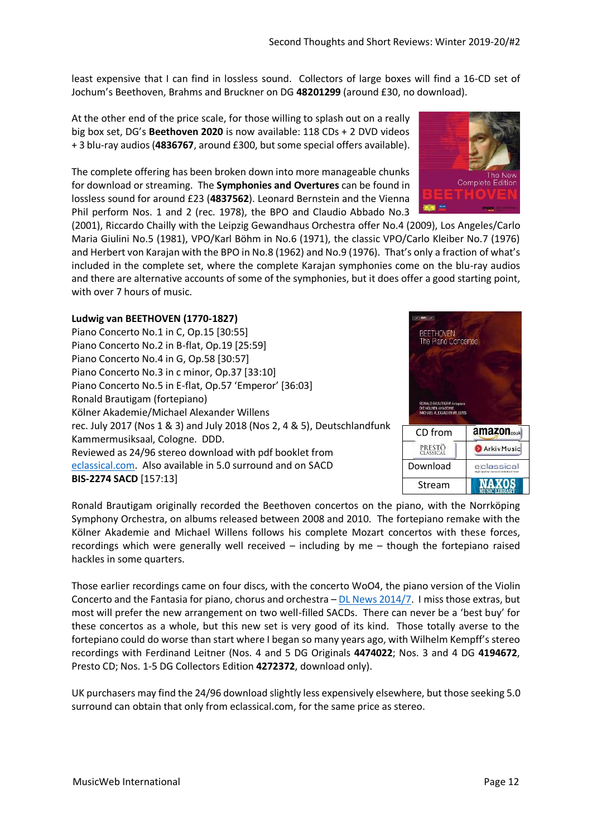least expensive that I can find in lossless sound. Collectors of large boxes will find a 16-CD set of Jochum's Beethoven, Brahms and Bruckner on DG **48201299** (around £30, no download).

At the other end of the price scale, for those willing to splash out on a really big box set, DG's **Beethoven 2020** is now available: 118 CDs + 2 DVD videos + 3 blu-ray audios (**4836767**, around £300, but some special offers available).

The complete offering has been broken down into more manageable chunks for download or streaming. The **Symphonies and Overtures** can be found in lossless sound for around £23 (**4837562**). Leonard Bernstein and the Vienna Phil perform Nos. 1 and 2 (rec. 1978), the BPO and Claudio Abbado No.3

(2001), Riccardo Chailly with the Leipzig Gewandhaus Orchestra offer No.4 (2009), Los Angeles/Carlo Maria Giulini No.5 (1981), VPO/Karl Böhm in No.6 (1971), the classic VPO/Carlo Kleiber No.7 (1976) and Herbert von Karajan with the BPO in No.8 (1962) and No.9 (1976). That's only a fraction of what's included in the complete set, where the complete Karajan symphonies come on the blu-ray audios and there are alternative accounts of some of the symphonies, but it does offer a good starting point, with over 7 hours of music.

### **Ludwig van BEETHOVEN (1770-1827)**

Piano Concerto No.1 in C, Op.15 [30:55] Piano Concerto No.2 in B-flat, Op.19 [25:59] Piano Concerto No.4 in G, Op.58 [30:57] Piano Concerto No.3 in c minor, Op.37 [33:10] Piano Concerto No.5 in E-flat, Op.57 'Emperor' [36:03] Ronald Brautigam (fortepiano) Kölner Akademie/Michael Alexander Willens rec. July 2017 (Nos 1 & 3) and July 2018 (Nos 2, 4 & 5), Deutschlandfunk Kammermusiksaal, Cologne. DDD. Reviewed as 24/96 stereo download with pdf booklet from [eclassical.com.](https://www.prestomusic.com/classical/products/8676352--beethoven-the-piano-concertos) Also available in 5.0 surround and on SACD **BIS-2274 SACD** [157:13]

Ronald Brautigam originally recorded the Beethoven concertos on the piano, with the Norrköping Symphony Orchestra, on albums released between 2008 and 2010. The fortepiano remake with the Kölner Akademie and Michael Willens follows his complete Mozart concertos with these forces, recordings which were generally well received – including by me – though the fortepiano raised hackles in some quarters.

Those earlier recordings came on four discs, with the concerto WoO4, the piano version of the Violin Concerto and the Fantasia for piano, chorus and orchestra – [DL News 2014/7.](http://www.musicweb-international.com/classrev/2014/May14/DL_News_2014_7.htm) I miss those extras, but most will prefer the new arrangement on two well-filled SACDs. There can never be a 'best buy' for these concertos as a whole, but this new set is very good of its kind. Those totally averse to the fortepiano could do worse than start where I began so many years ago, with Wilhelm Kempff's stereo recordings with Ferdinand Leitner (Nos. 4 and 5 DG Originals **4474022**; Nos. 3 and 4 DG **4194672**, Presto CD; Nos. 1-5 DG Collectors Edition **4272372**, download only).

UK purchasers may find the 24/96 download slightly less expensively elsewhere, but those seeking 5.0 surround can obtain that only from eclassical.com, for the same price as stereo.





**NAXOS** 

Stream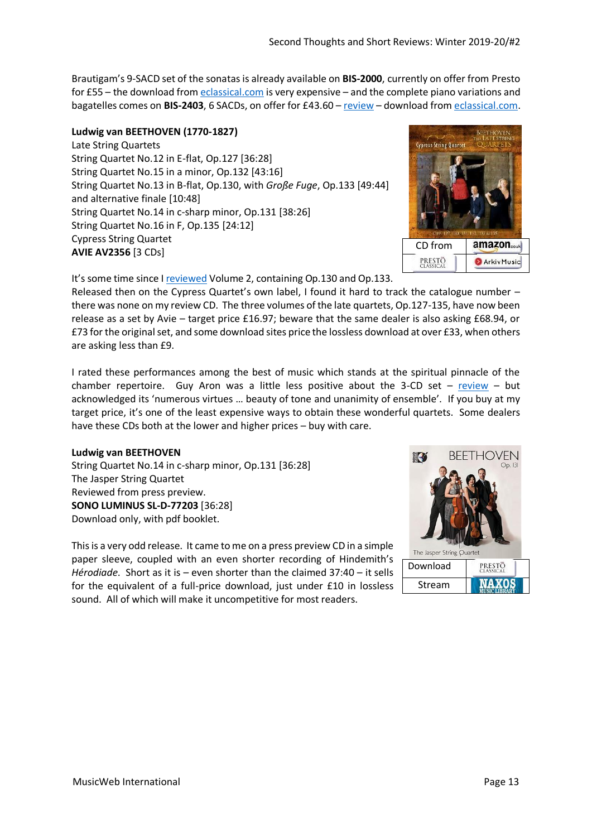Brautigam's 9-SACD set of the sonatas is already available on **BIS-2000**, currently on offer from Presto for £55 – the download from [eclassical.com](https://www.eclassical.com/labels/bis/beethoven-the-complete-piano-sonatas-3.html) is very expensive – and the complete piano variations and bagatelles comes on **BIS-2403**, 6 SACDs, on offer for £43.60 – [review](http://www.musicweb-international.com/classrev/2019/Nov/Beethoven_variations_BIS2403.htm) – download from [eclassical.com.](https://www.eclassical.com/performers/brautigam-ronald/beethoven-the-complete-variations-bagatelles-clavierstucke.html)

**Ludwig van BEETHOVEN (1770-1827)** Late String Quartets String Quartet No.12 in E-flat, Op.127 [36:28] String Quartet No.15 in a minor, Op.132 [43:16] String Quartet No.13 in B-flat, Op.130, with *Große Fuge*, Op.133 [49:44] and alternative finale [10:48] String Quartet No.14 in c-sharp minor, Op.131 [38:26] String Quartet No.16 in F, Op.135 [24:12] Cypress String Quartet **AVIE AV2356** [3 CDs]



It's some time since I [reviewed](http://www.musicweb-international.com/classrev/2011/June11/Beethoven_late_qts2_CSQ2010.htm) Volume 2, containing Op.130 and Op.133.

Released then on the Cypress Quartet's own label, I found it hard to track the catalogue number – there was none on my review CD. The three volumes of the late quartets, Op.127-135, have now been release as a set by Avie – target price £16.97; beware that the same dealer is also asking £68.94, or £73 for the original set, and some download sites price the lossless download at over £33, when others are asking less than £9.

I rated these performances among the best of music which stands at the spiritual pinnacle of the chamber repertoire. Guy Aron was a little less positive about the 3-CD set – [review](http://www.musicweb-international.com/classrev/2012/Sept12/Beethoven_late_qts_CSQBC012.htm) – but acknowledged its 'numerous virtues … beauty of tone and unanimity of ensemble'. If you buy at my target price, it's one of the least expensive ways to obtain these wonderful quartets. Some dealers have these CDs both at the lower and higher prices – buy with care.

### **Ludwig van BEETHOVEN**

String Quartet No.14 in c-sharp minor, Op.131 [36:28] The Jasper String Quartet Reviewed from press preview. **SONO LUMINUS SL-D-77203** [36:28] Download only, with pdf booklet.

This is a very odd release. It came to me on a press preview CD in a simple paper sleeve, coupled with an even shorter recording of Hindemith's *Hérodiade*. Short as it is – even shorter than the claimed 37:40 – it sells for the equivalent of a full-price download, just under £10 in lossless sound. All of which will make it uncompetitive for most readers.

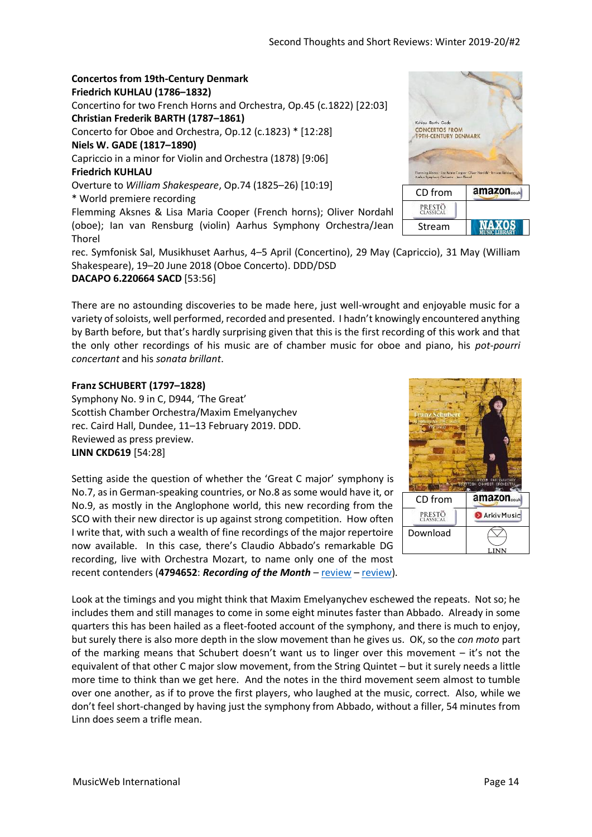**Concertos from 19th-Century Denmark Friedrich KUHLAU (1786–1832)**  Concertino for two French Horns and Orchestra, Op.45 (c.1822) [22:03] **Christian Frederik BARTH (1787–1861) CONCERTOS FROM** Concerto for Oboe and Orchestra, Op.12 (c.1823) \* [12:28] **9TH-CENTURY DENMARK Niels W. GADE (1817–1890)**  Capriccio in a minor for Violin and Orchestra (1878) [9:06] **Friedrich KUHLAU** Overture to *William Shakespeare*, Op.74 (1825–26) [10:19] CD from \* World premiere recording **PRESTO** Flemming Aksnes & Lisa Maria Cooper (French horns); Oliver Nordahl (oboe); Ian van Rensburg (violin) Aarhus Symphony Orchestra/Jean Stream Thorel rec. Symfonisk Sal, Musikhuset Aarhus, 4–5 April (Concertino), 29 May (Capriccio), 31 May (William Shakespeare), 19–20 June 2018 (Oboe Concerto). DDD/DSD **DACAPO 6.220664 SACD** [53:56]

There are no astounding discoveries to be made here, just well-wrought and enjoyable music for a variety of soloists, well performed, recorded and presented. I hadn't knowingly encountered anything by Barth before, but that's hardly surprising given that this is the first recording of this work and that the only other recordings of his music are of chamber music for oboe and piano, his *pot-pourri concertant* and his *sonata brillant*.

## **Franz SCHUBERT (1797–1828)**

Symphony No. 9 in C, D944, 'The Great' Scottish Chamber Orchestra/Maxim Emelyanychev rec. Caird Hall, Dundee, 11–13 February 2019. DDD. Reviewed as press preview. **LINN CKD619** [54:28]

Setting aside the question of whether the 'Great C major' symphony is No.7, as in German-speaking countries, or No.8 as some would have it, or No.9, as mostly in the Anglophone world, this new recording from the SCO with their new director is up against strong competition. How often I write that, with such a wealth of fine recordings of the major repertoire now available. In this case, there's Claudio Abbado's remarkable DG recording, live with Orchestra Mozart, to name only one of the most recent contenders (**4794652**: *Recording of the Month* – [review](http://www.musicweb-international.com/classrev/2015/Nov/Schubert_sy9_4794652.htm) – [review\)](http://www.musicweb-international.com/classrev/2016/Mar/Schubert_sy9_4794652.htm).

Look at the timings and you might think that Maxim Emelyanychev eschewed the repeats. Not so; he includes them and still manages to come in some eight minutes faster than Abbado. Already in some quarters this has been hailed as a fleet-footed account of the symphony, and there is much to enjoy, but surely there is also more depth in the slow movement than he gives us. OK, so the *con moto* part of the marking means that Schubert doesn't want us to linger over this movement – it's not the equivalent of that other C major slow movement, from the String Quintet – but it surely needs a little more time to think than we get here. And the notes in the third movement seem almost to tumble over one another, as if to prove the first players, who laughed at the music, correct. Also, while we don't feel short-changed by having just the symphony from Abbado, without a filler, 54 minutes from Linn does seem a trifle mean.



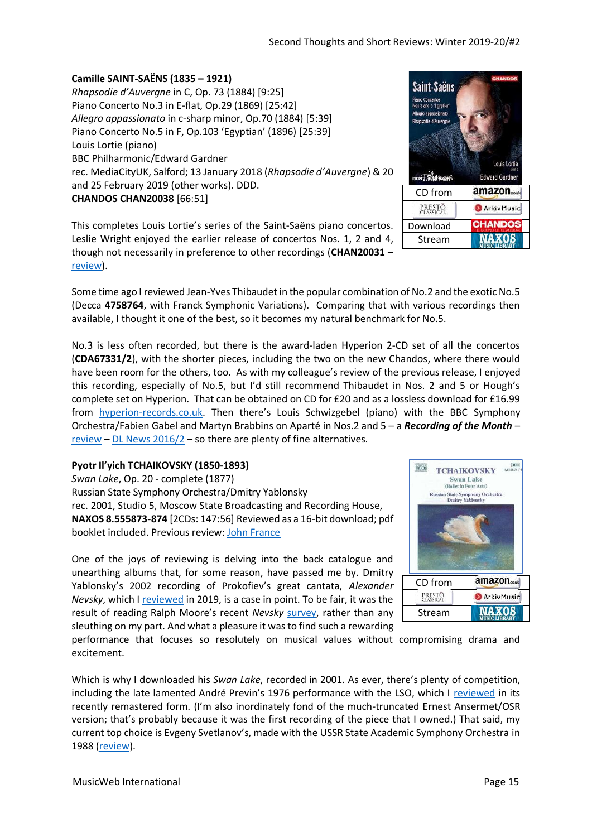## **Camille SAINT-SAËNS (1835 – 1921)**

*Rhapsodie d'Auvergne* in C, Op. 73 (1884) [9:25] Piano Concerto No.3 in E-flat, Op.29 (1869) [25:42] *Allegro appassionato* in c-sharp minor, Op.70 (1884) [5:39] Piano Concerto No.5 in F, Op.103 'Egyptian' (1896) [25:39] Louis Lortie (piano) BBC Philharmonic/Edward Gardner rec. MediaCityUK, Salford; 13 January 2018 (*Rhapsodie d'Auvergne*) & 20 and 25 February 2019 (other works). DDD. **CHANDOS CHAN20038** [66:51]

This completes Louis Lortie's series of the Saint-Saëns piano concertos. Leslie Wright enjoyed the earlier release of concertos Nos. 1, 2 and 4, though not necessarily in preference to other recordings (**CHAN20031** – [review\)](http://www.musicweb-international.com/classrev/2018/Nov/Saint-Saens_PCs_v1_CHAN20031.htm).

Some time ago I reviewed Jean-Yves Thibaudet in the popular combination of No.2 and the exotic No.5 (Decca **4758764**, with Franck Symphonic Variations). Comparing that with various recordings then available, I thought it one of the best, so it becomes my natural benchmark for No.5.

No.3 is less often recorded, but there is the award-laden Hyperion 2-CD set of all the concertos (**CDA67331/2**), with the shorter pieces, including the two on the new Chandos, where there would have been room for the others, too. As with my colleague's review of the previous release, I enjoyed this recording, especially of No.5, but I'd still recommend Thibaudet in Nos. 2 and 5 or Hough's complete set on Hyperion. That can be obtained on CD for £20 and as a lossless download for £16.99 from [hyperion-records.co.uk.](https://www.hyperion-records.co.uk/dc.asp?dc=D_CDA67331/2) Then there's Louis Schwizgebel (piano) with the BBC Symphony Orchestra/Fabien Gabel and Martyn Brabbins on Aparté in Nos.2 and 5 – a *Recording of the Month* – [review](http://www.musicweb-international.com/classrev/2016/Jan/SaintSaens_PCs_AP112.htm) – DL [News 2016/2](http://www.musicweb-international.com/classrev/2016/Jan/SaintSaens_PCs_AP112.htm) – so there are plenty of fine alternatives.

### **Pyotr Il'yich TCHAIKOVSKY (1850-1893)**

*Swan Lake*, Op. 20 - complete (1877) Russian State Symphony Orchestra/Dmitry Yablonsky rec. 2001, Studio 5, Moscow State Broadcasting and Recording House, **NAXOS 8.555873-874** [2CDs: 147:56] Reviewed as a 16-bit download; pdf booklet included. Previous review[: John France](http://www.musicweb-international.com/classrev/2003/July03/SwanLake.htm)

One of the joys of reviewing is delving into the back catalogue and unearthing albums that, for some reason, have passed me by. Dmitry Yablonsky's 2002 recording of Prokofiev's great cantata, *Alexander Nevsky*, which I [reviewed](http://musicweb-international.com/classrev/2019/Nov/Autumn_2019_2.pdf) in 2019, is a case in point. To be fair, it was the result of reading Ralph Moore's recent *Nevsky* [survey,](http://www.musicweb-international.com/classrev/2019/Nov/Prokofiev_Nevsky_survey.pdf) rather than any sleuthing on my part. And what a pleasure it was to find such a rewarding



performance that focuses so resolutely on musical values without compromising drama and excitement.

Which is why I downloaded his *Swan Lake*, recorded in 2001. As ever, there's plenty of competition, including the late lamented André Previn's 1976 performance with the LSO, which I [reviewed](http://www.musicweb-international.com/classrev/2019/Jan/Tchaikovsky_ballets_9029597489.htm) in its recently remastered form. (I'm also inordinately fond of the much-truncated Ernest Ansermet/OSR version; that's probably because it was the first recording of the piece that I owned.) That said, my current top choice is Evgeny Svetlanov's, made with the USSR State Academic Symphony Orchestra in 1988 [\(review\)](http://www.musicweb-international.com/classrev/2015/Dec/Tchaikovsky_swan_MELCD1002223.htm).

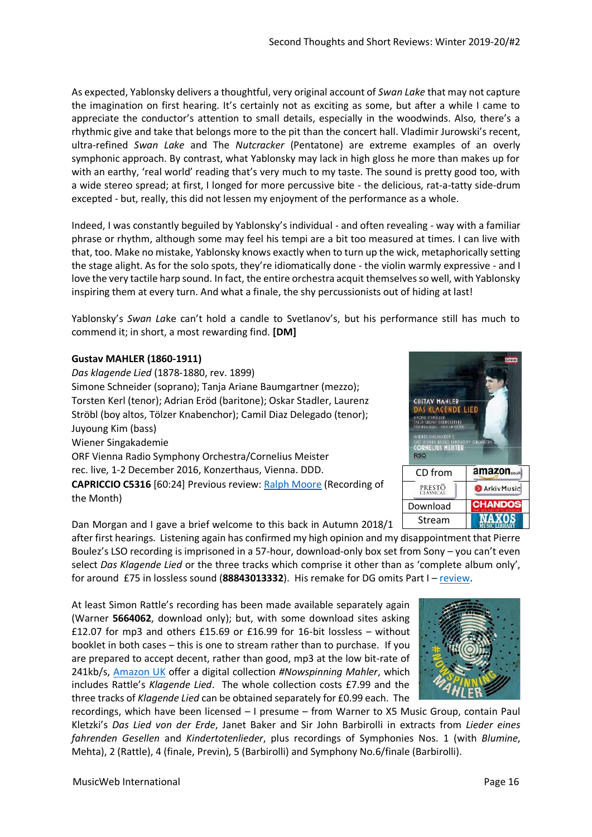As expected, Yablonsky delivers a thoughtful, very original account of *Swan Lake* that may not capture the imagination on first hearing. It's certainly not as exciting as some, but after a while I came to appreciate the conductor's attention to small details, especially in the woodwinds. Also, there's a rhythmic give and take that belongs more to the pit than the concert hall. Vladimir Jurowski's recent, ultra-refined *Swan Lake* and The *Nutcracker* (Pentatone) are extreme examples of an overly symphonic approach. By contrast, what Yablonsky may lack in high gloss he more than makes up for with an earthy, 'real world' reading that's very much to my taste. The sound is pretty good too, with a wide stereo spread; at first, I longed for more percussive bite - the delicious, rat-a-tatty side-drum excepted - but, really, this did not lessen my enjoyment of the performance as a whole.

Indeed, I was constantly beguiled by Yablonsky's individual - and often revealing - way with a familiar phrase or rhythm, although some may feel his tempi are a bit too measured at times. I can live with that, too. Make no mistake, Yablonsky knows exactly when to turn up the wick, metaphorically setting the stage alight. As for the solo spots, they're idiomatically done - the violin warmly expressive - and I love the very tactile harp sound. In fact, the entire orchestra acquit themselves so well, with Yablonsky inspiring them at every turn. And what a finale, the shy percussionists out of hiding at last!

Yablonsky's *Swan La*ke can't hold a candle to Svetlanov's, but his performance still has much to commend it; in short, a most rewarding find. **[DM]**

## **Gustav MAHLER (1860-1911)**

*Das klagende Lied* (1878-1880, rev. 1899) Simone Schneider (soprano); Tanja Ariane Baumgartner (mezzo); Torsten Kerl (tenor); Adrian Eröd (baritone); Oskar Stadler, Laurenz Ströbl (boy altos, Tölzer Knabenchor); Camil Diaz Delegado (tenor); Juyoung Kim (bass) Wiener Singakademie ORF Vienna Radio Symphony Orchestra/Cornelius Meister rec. live, 1-2 December 2016, Konzerthaus, Vienna. DDD. **CAPRICCIO C5316** [60:24] Previous review[: Ralph Moore](http://www.musicweb-international.com/classrev/2018/Aug/Mahler_klagende_C5316.htm) (Recording of the Month)

Dan Morgan and I gave a brief welcome to this back in Autumn 2018/1

after first hearings. Listening again has confirmed my high opinion and my disappointment that Pierre Boulez's LSO recording is imprisoned in a 57-hour, download-only box set from Sony – you can't even select *Das Klagende Lied* or the three tracks which comprise it other than as 'complete album only', for around £75 in lossless sound (**88843013332**). His remake for DG omits Part I – [review.](http://www.musicweb-international.com/classrev/2013/May13/Mahler_Klagende_4779891.htm)

At least Simon Rattle's recording has been made available separately again (Warner **5664062**, download only); but, with some download sites asking £12.07 for mp3 and others £15.69 or £16.99 for 16-bit lossless – without booklet in both cases – this is one to stream rather than to purchase. If you are prepared to accept decent, rather than good, mp3 at the low bit-rate of 241kb/s, [Amazon UK](https://www.amazon.co.uk/gp/product/B06XTSCXNJ/ref=dm_ws_sp_ps_dp) offer a digital collection *#Nowspinning Mahler*, which includes Rattle's *Klagende Lied*. The whole collection costs £7.99 and the three tracks of *Klagende Lied* can be obtained separately for £0.99 each. The

recordings, which have been licensed – I presume – from Warner to X5 Music Group, contain Paul Kletzki's *Das Lied von der Erde*, Janet Baker and Sir John Barbirolli in extracts from *Lieder eines fahrenden Gesellen* and *Kindertotenlieder*, plus recordings of Symphonies Nos. 1 (with *Blumine*, Mehta), 2 (Rattle), 4 (finale, Previn), 5 (Barbirolli) and Symphony No.6/finale (Barbirolli).



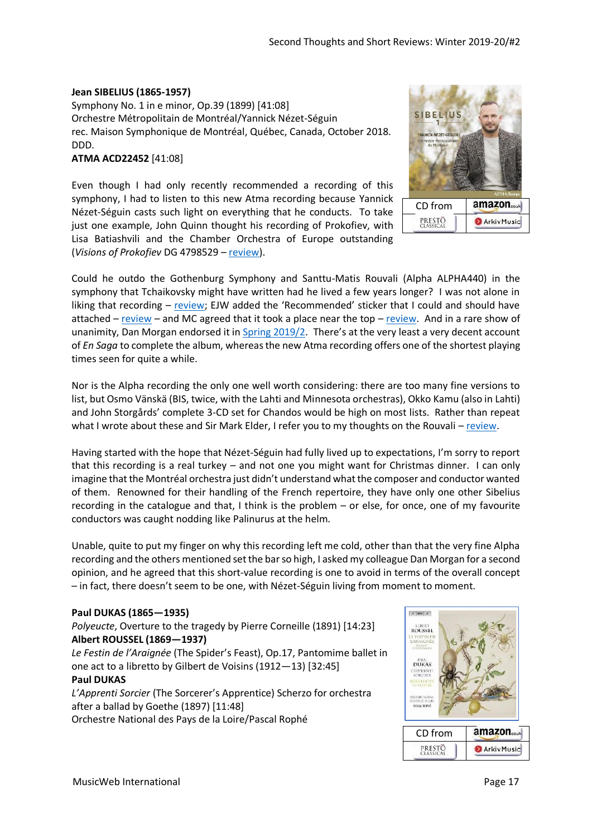### **Jean SIBELIUS (1865-1957)**

Symphony No. 1 in e minor, Op.39 (1899) [41:08] Orchestre Métropolitain de Montréal/Yannick Nézet-Séguin rec. Maison Symphonique de Montréal, Québec, Canada, October 2018. DDD.

### **ATMA ACD22452** [41:08]

Even though I had only recently recommended a recording of this symphony, I had to listen to this new Atma recording because Yannick Nézet-Séguin casts such light on everything that he conducts. To take just one example, John Quinn thought his recording of Prokofiev, with Lisa Batiashvili and the Chamber Orchestra of Europe outstanding (*Visions of Prokofiev* DG 4798529 – [review\)](http://www.musicweb-international.com/classrev/2018/Mar/Prokofiev_VCs_4798529.htm).



Could he outdo the Gothenburg Symphony and Santtu-Matis Rouvali (Alpha ALPHA440) in the symphony that Tchaikovsky might have written had he lived a few years longer? I was not alone in liking that recording – [review](http://www.musicweb-international.com/classrev/2019/Mar/Sibelius_sy1_440.htm); EJW added the 'Recommended' sticker that I could and should have attached – [review](http://www.musicweb-international.com/classrev/2019/Feb/Sibelius_sy1_440.htm) – and MC agreed that it took a place near the top – [review.](http://www.musicweb-international.com/classrev/2019/Apr/Sibelius_sy1_440.htm) And in a rare show of unanimity, Dan Morgan endorsed it in [Spring 2019/2](http://www.musicweb-international.com/classrev/2019/Apr/Spring_2019_2.pdf). There's at the very least a very decent account of *En Saga* to complete the album, whereas the new Atma recording offers one of the shortest playing times seen for quite a while.

Nor is the Alpha recording the only one well worth considering: there are too many fine versions to list, but Osmo Vänskä (BIS, twice, with the Lahti and Minnesota orchestras), Okko Kamu (also in Lahti) and John Storgårds' complete 3-CD set for Chandos would be high on most lists. Rather than repeat what I wrote about these and Sir Mark Elder, I refer you to my thoughts on the Rouvali – [review.](http://www.musicweb-international.com/classrev/2019/Mar/Sibelius_sy1_440.htm)

Having started with the hope that Nézet-Séguin had fully lived up to expectations, I'm sorry to report that this recording is a real turkey – and not one you might want for Christmas dinner. I can only imagine that the Montréal orchestra just didn't understand what the composer and conductor wanted of them. Renowned for their handling of the French repertoire, they have only one other Sibelius recording in the catalogue and that, I think is the problem – or else, for once, one of my favourite conductors was caught nodding like Palinurus at the helm.

Unable, quite to put my finger on why this recording left me cold, other than that the very fine Alpha recording and the others mentioned set the bar so high, I asked my colleague Dan Morgan for a second opinion, and he agreed that this short-value recording is one to avoid in terms of the overall concept – in fact, there doesn't seem to be one, with Nézet-Séguin living from moment to moment.

### **Paul DUKAS (1865—1935)**

### *Polyeucte*, Overture to the tragedy by Pierre Corneille (1891) [14:23] **Albert ROUSSEL (1869—1937)**

*Le Festin de l'Araignée* (The Spider's Feast), Op.17, Pantomime ballet in one act to a libretto by Gilbert de Voisins (1912—13) [32:45] **Paul DUKAS** 

*L'Apprenti Sorcier* (The Sorcerer's Apprentice) Scherzo for orchestra after a ballad by Goethe (1897) [11:48]

Orchestre National des Pays de la Loire/Pascal Rophé



| CD from                             | amazon     |
|-------------------------------------|------------|
| PRESTO<br>$\triangle$ 1224 $\Gamma$ | ArkivMusic |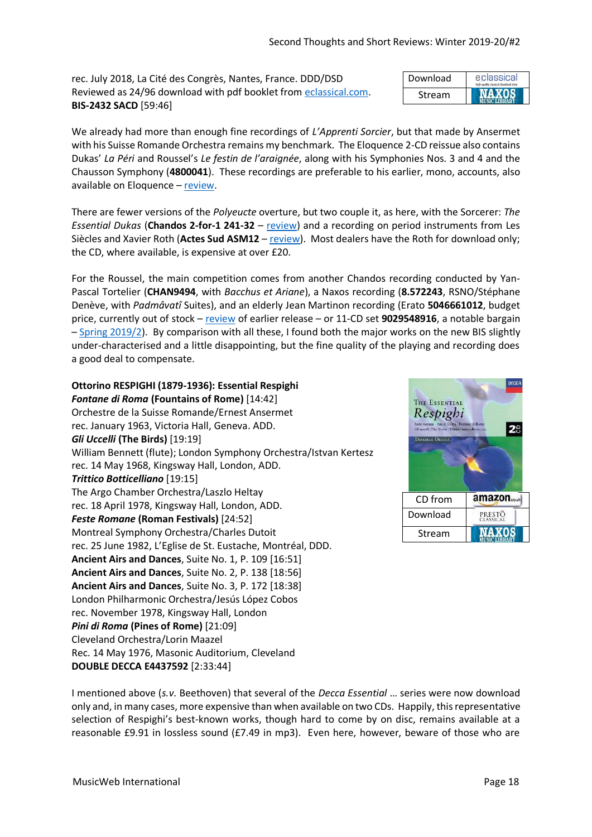rec. July 2018, La Cité des Congrès, Nantes, France. DDD/DSD Reviewed as 24/96 download with pdf booklet from [eclassical.com.](https://www.eclassical.com/rophe-pascal/the-sorcerers-apprentice-the-spiders-feast.html) **BIS-2432 SACD** [59:46]

| Download | eclassical<br>High-quality classical download store |
|----------|-----------------------------------------------------|
| Stream   |                                                     |

We already had more than enough fine recordings of *L'Apprenti Sorcier*, but that made by Ansermet with his Suisse Romande Orchestra remains my benchmark. The Eloquence 2-CD reissue also contains Dukas' *La Péri* and Roussel's *Le festin de l'araignée*, along with his Symphonies Nos. 3 and 4 and the Chausson Symphony (**4800041**). These recordings are preferable to his earlier, mono, accounts, also available on Eloquence – [review.](http://www.musicweb-international.com/classrev/2018/Nov/Debussy_Dukas_4824975.htm)

There are fewer versions of the *Polyeucte* overture, but two couple it, as here, with the Sorcerer: *The Essential Dukas* (**Chandos 2-for-1 241-32** – [review\)](http://www.musicweb-international.com/classrev/2006/jun06/Dukas_essential_chan241-32.htm) and a recording on period instruments from Les Siècles and Xavier Roth (**Actes Sud ASM12** – [review\)](http://www.musicweb-international.com/classrev/2014/Mar14/Dukas_Velleda_ASM12.htm). Most dealers have the Roth for download only; the CD, where available, is expensive at over £20.

For the Roussel, the main competition comes from another Chandos recording conducted by Yan-Pascal Tortelier (**CHAN9494**, with *Bacchus et Ariane*), a Naxos recording (**8.572243**, RSNO/Stéphane Denève, with *Padmâvatî* Suites), and an elderly Jean Martinon recording (Erato **5046661012**, budget price, currently out of stock – [review](http://www.musicweb-international.com/classrev/2003/Oct03/roussel_sy2festin.htm) of earlier release – or 11-CD set **9029548916**, a notable bargain – [Spring 2019/2\)](http://www.musicweb-international.com/classrev/2019/Apr/Spring_2019_2.pdf). By comparison with all these, I found both the major works on the new BIS slightly under-characterised and a little disappointing, but the fine quality of the playing and recording does a good deal to compensate.

# **Ottorino RESPIGHI (1879-1936): Essential Respighi**

*Fontane di Roma* **(Fountains of Rome)** [14:42] Orchestre de la Suisse Romande/Ernest Ansermet rec. January 1963, Victoria Hall, Geneva. ADD. *Gli Uccelli* **(The Birds)** [19:19] William Bennett (flute); London Symphony Orchestra/Istvan Kertesz rec. 14 May 1968, Kingsway Hall, London, ADD. *Trittico Botticelliano* [19:15] The Argo Chamber Orchestra/Laszlo Heltay rec. 18 April 1978, Kingsway Hall, London, ADD. *Feste Romane* **(Roman Festivals)** [24:52] Montreal Symphony Orchestra/Charles Dutoit rec. 25 June 1982, L'Eglise de St. Eustache, Montréal, DDD. **Ancient Airs and Dances**, Suite No. 1, P. 109 [16:51] **Ancient Airs and Dances**, Suite No. 2, P. 138 [18:56] **Ancient Airs and Dances**, Suite No. 3, P. 172 [18:38] London Philharmonic Orchestra/Jesús López Cobos rec. November 1978, Kingsway Hall, London *Pini di Roma* **(Pines of Rome)** [21:09] Cleveland Orchestra/Lorin Maazel Rec. 14 May 1976, Masonic Auditorium, Cleveland **DOUBLE DECCA E4437592** [2:33:44]



I mentioned above (*s.v.* Beethoven) that several of the *Decca Essential* … series were now download only and, in many cases, more expensive than when available on two CDs. Happily, this representative selection of Respighi's best-known works, though hard to come by on disc, remains available at a reasonable £9.91 in lossless sound (£7.49 in mp3). Even here, however, beware of those who are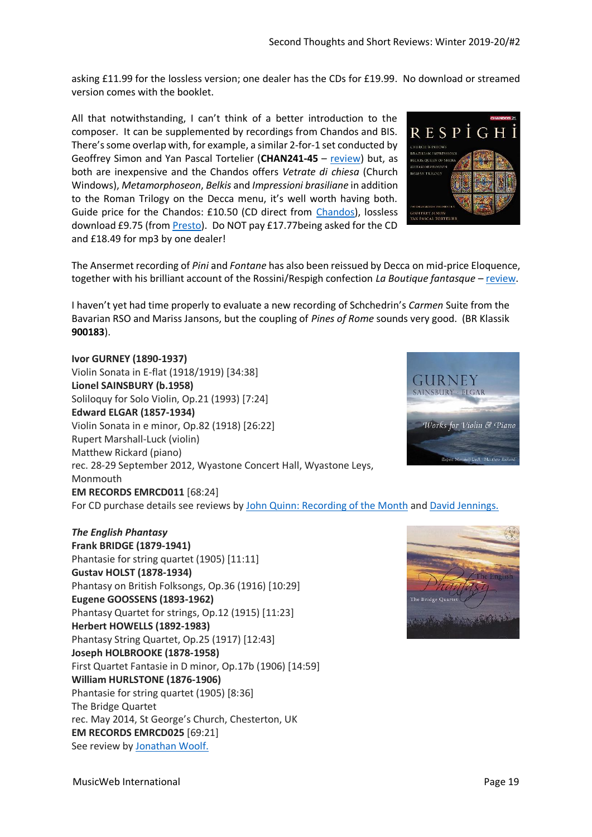asking £11.99 for the lossless version; one dealer has the CDs for £19.99. No download or streamed version comes with the booklet.

All that notwithstanding, I can't think of a better introduction to the composer. It can be supplemented by recordings from Chandos and BIS. There's some overlap with, for example, a similar 2-for-1 set conducted by Geoffrey Simon and Yan Pascal Tortelier (**CHAN241-45** – [review\)](http://www.musicweb-international.com/classrev/2013/May13/Respighi_vetrate_CHAN24145.htm) but, as both are inexpensive and the Chandos offers *Vetrate di chiesa* (Church Windows), *Metamorphoseon*, *Belkis* and *Impressioni brasiliane* in addition to the Roman Trilogy on the Decca menu, it's well worth having both. Guide price for the Chandos: £10.50 (CD direct from [Chandos\)](https://www.chandos.net/products/catalogue/CHAN%20241-45), lossless download £9.75 (from [Presto\)](https://www.prestomusic.com/classical/products/8030315--respighi-church-windows-metamorphoseon-roman-festivals-roman-trilogy). Do NOT pay £17.77being asked for the CD and £18.49 for mp3 by one dealer!



The Ansermet recording of *Pini* and *Fontane* has also been reissued by Decca on mid-price Eloquence, together with his brilliant account of the Rossini/Respigh confection *La Boutique fantasque* – [review.](http://www.musicweb-international.com/classrev/2010/Apr10/Respighi_Ansermet_4800024.htm)

I haven't yet had time properly to evaluate a new recording of Schchedrin's *Carmen* Suite from the Bavarian RSO and Mariss Jansons, but the coupling of *Pines of Rome* sounds very good. (BR Klassik **900183**).

## **Ivor GURNEY (1890-1937)** Violin Sonata in E-flat (1918/1919) [34:38] **Lionel SAINSBURY (b.1958)** Soliloquy for Solo Violin, Op.21 (1993) [7:24] **Edward ELGAR (1857-1934)** Violin Sonata in e minor, Op.82 (1918) [26:22] Rupert Marshall-Luck (violin) Matthew Rickard (piano) rec. 28-29 September 2012, Wyastone Concert Hall, Wyastone Leys, Monmouth **EM RECORDS EMRCD011** [68:24] For CD purchase details see reviews b[y John Quinn: Recording of the Month](http://www.musicweb-international.com/classrev/2013/Feb13/Gurney_EMRCD011.htm) an[d David Jennings.](http://www.musicweb-international.com/classrev/2013/May13/Gurney_EMRCD011.htm)



## *The English Phantasy* **Frank BRIDGE (1879-1941)**

Phantasie for string quartet (1905) [11:11] **Gustav HOLST (1878-1934)** Phantasy on British Folksongs, Op.36 (1916) [10:29] **Eugene GOOSSENS (1893-1962)** Phantasy Quartet for strings, Op.12 (1915) [11:23] **Herbert HOWELLS (1892-1983)** Phantasy String Quartet, Op.25 (1917) [12:43] **Joseph HOLBROOKE (1878-1958)** First Quartet Fantasie in D minor, Op.17b (1906) [14:59] **William HURLSTONE (1876-1906)** Phantasie for string quartet (1905) [8:36] The Bridge Quartet rec. May 2014, St George's Church, Chesterton, UK **EM RECORDS EMRCD025** [69:21] See review b[y Jonathan Woolf.](http://www.musicweb-international.com/classrev/2015/Mar/English_phantasy_EMRCD025.htm)

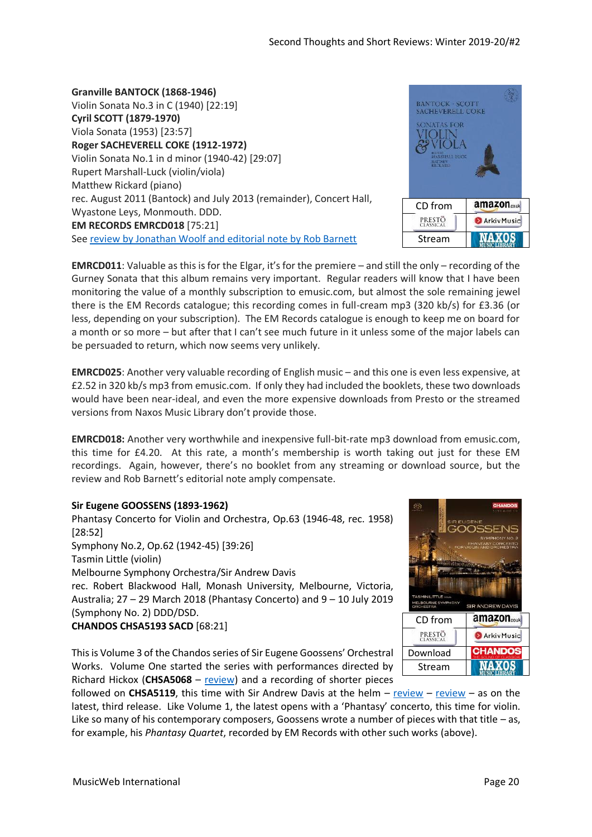**Granville BANTOCK (1868-1946)** Violin Sonata No.3 in C (1940) [22:19] **Cyril SCOTT (1879-1970)** Viola Sonata (1953) [23:57] **Roger SACHEVERELL COKE (1912-1972)** Violin Sonata No.1 in d minor (1940-42) [29:07] Rupert Marshall-Luck (violin/viola) Matthew Rickard (piano) rec. August 2011 (Bantock) and July 2013 (remainder), Concert Hall, Wyastone Leys, Monmouth. DDD. **EM RECORDS EMRCD018** [75:21] Se[e review by Jonathan Woolf and editorial note by Rob Barnett](http://www.musicweb-international.com/classrev/2014/Feb14/Bantock_Scott_sonatas_EMRCD018.htm)



**EMRCD011**: Valuable as this is for the Elgar, it's for the premiere – and still the only – recording of the Gurney Sonata that this album remains very important. Regular readers will know that I have been monitoring the value of a monthly subscription to emusic.com, but almost the sole remaining jewel there is the EM Records catalogue; this recording comes in full-cream mp3 (320 kb/s) for £3.36 (or less, depending on your subscription). The EM Records catalogue is enough to keep me on board for a month or so more – but after that I can't see much future in it unless some of the major labels can be persuaded to return, which now seems very unlikely.

**EMRCD025**: Another very valuable recording of English music – and this one is even less expensive, at £2.52 in 320 kb/s mp3 from emusic.com. If only they had included the booklets, these two downloads would have been near-ideal, and even the more expensive downloads from Presto or the streamed versions from Naxos Music Library don't provide those.

**EMRCD018:** Another very worthwhile and inexpensive full-bit-rate mp3 download from emusic.com, this time for £4.20. At this rate, a month's membership is worth taking out just for these EM recordings. Again, however, there's no booklet from any streaming or download source, but the review and Rob Barnett's editorial note amply compensate.

## **Sir Eugene GOOSSENS (1893-1962)**

Phantasy Concerto for Violin and Orchestra, Op.63 (1946-48, rec. 1958) [28:52] Symphony No.2, Op.62 (1942-45) [39:26] Tasmin Little (violin) Melbourne Symphony Orchestra/Sir Andrew Davis rec. Robert Blackwood Hall, Monash University, Melbourne, Victoria, Australia; 27 – 29 March 2018 (Phantasy Concerto) and 9 – 10 July 2019 (Symphony No. 2) DDD/DSD. **CHANDOS CHSA5193 SACD** [68:21]

This is Volume 3 of the Chandos series of Sir Eugene Goossens' Orchestral Works. Volume One started the series with performances directed by Richard Hickox (**CHSA5068** – [review\)](http://www.musicweb-international.com/classrev/2009/Mar09/Goossens_CHSA5068.htm) and a recording of shorter pieces

followed on **CHSA5119**, this time with Sir Andrew Davis at the helm – [review](http://www.musicweb-international.com/classrev/2013/Apr13/Goossens_orchestral_CHSA5119.htm) – [review](http://www.musicweb-international.com/classrev/2013/July13/Goossens_orchestral_v2_CHSA5119.htm) – as on the latest, third release. Like Volume 1, the latest opens with a 'Phantasy' concerto, this time for violin. Like so many of his contemporary composers, Goossens wrote a number of pieces with that title – as, for example, his *Phantasy Quartet*, recorded by EM Records with other such works (above).

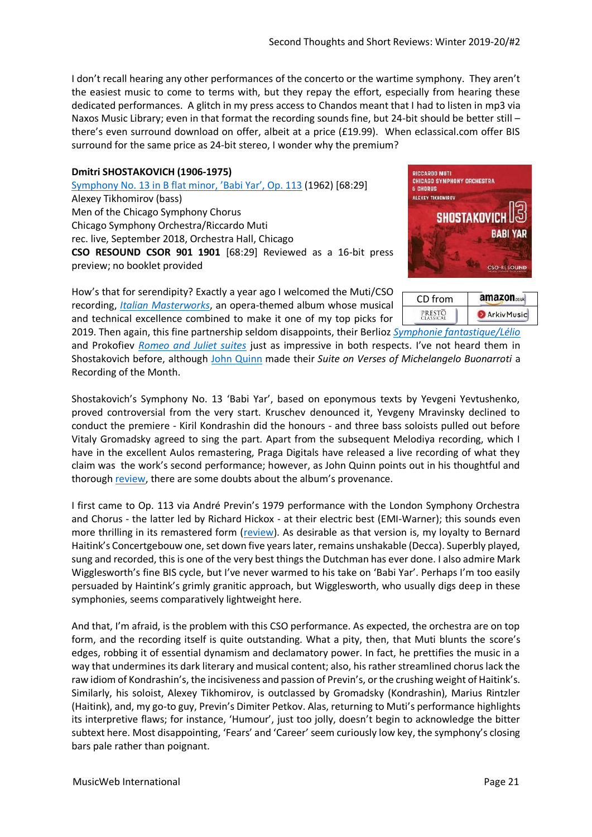I don't recall hearing any other performances of the concerto or the wartime symphony. They aren't the easiest music to come to terms with, but they repay the effort, especially from hearing these dedicated performances. A glitch in my press access to Chandos meant that I had to listen in mp3 via Naxos Music Library; even in that format the recording sounds fine, but 24-bit should be better still – there's even surround download on offer, albeit at a price (£19.99). When eclassical.com offer BIS surround for the same price as 24-bit stereo, I wonder why the premium?

### **Dmitri SHOSTAKOVICH (1906-1975)**

Symphony No. 13 [in B flat minor, 'Babi Yar', Op. 113](http://www.musicweb-international.com/mwork_index/shost_sy1315.htm) (1962) [68:29] Alexey Tikhomirov (bass) Men of the Chicago Symphony Chorus Chicago Symphony Orchestra/Riccardo Muti rec. live, September 2018, Orchestra Hall, Chicago **CSO RESOUND CSOR 901 1901** [68:29] Reviewed as a 16-bit press preview; no booklet provided

How's that for serendipity? Exactly a year ago I welcomed the Muti/CSO recording, *[Italian Masterworks](http://www.musicweb-international.com/classrev/2019/Jan/Italian_masterworks_CSOR9011801.htm)*, an opera-themed album whose musical and technical excellence combined to make it one of my top picks for



| CD from | amazon <sub>couk</sub> |
|---------|------------------------|
| PRESTO  | ArkivMusic             |

2019. Then again, this fine partnership seldom disappoints, their Berlioz *[Symphonie fantastique/Lélio](http://www.musicweb-international.com/classrev/2015/Sep/Berlioz_symph_CSOR9011501.htm)* and Prokofiev *[Romeo and Juliet suites](http://www.musicweb-international.com/classrev/2014/Nov14/Prokofiev_Romeo_CSOR9011402.htm)* just as impressive in both respects. I've not heard them in Shostakovich before, although [John Quinn](http://www.musicweb-international.com/classrev/2016/Nov/Shostakovich_Michelangelo_CSOR9011602.htm) made their *Suite on Verses of Michelangelo Buonarroti* a Recording of the Month.

Shostakovich's Symphony No. 13 'Babi Yar', based on eponymous texts by Yevgeni Yevtushenko, proved controversial from the very start. Kruschev denounced it, Yevgeny Mravinsky declined to conduct the premiere - Kiril Kondrashin did the honours - and three bass soloists pulled out before Vitaly Gromadsky agreed to sing the part. Apart from the subsequent Melodiya recording, which I have in the excellent Aulos remastering, Praga Digitals have released a live recording of what they claim was the work's second performance; however, as John Quinn points out in his thoughtful and thorough [review](http://www.musicweb-international.com/classrev/2014/Aug14/Shostakovich_sy13_350089.htm), there are some doubts about the album's provenance.

I first came to Op. 113 via André Previn's 1979 performance with the London Symphony Orchestra and Chorus - the latter led by Richard Hickox - at their electric best (EMI-Warner); this sounds even more thrilling in its remastered form [\(review\)](http://www.musicweb-international.com/classrev/2016/Jun/Shostakovich_sy13_WPCS23265.htm). As desirable as that version is, my loyalty to Bernard Haitink's Concertgebouw one, set down five years later, remains unshakable (Decca). Superbly played, sung and recorded, this is one of the very best things the Dutchman has ever done. I also admire Mark Wigglesworth's fine BIS cycle, but I've never warmed to his take on 'Babi Yar'. Perhaps I'm too easily persuaded by Haintink's grimly granitic approach, but Wigglesworth, who usually digs deep in these symphonies, seems comparatively lightweight here.

And that, I'm afraid, is the problem with this CSO performance. As expected, the orchestra are on top form, and the recording itself is quite outstanding. What a pity, then, that Muti blunts the score's edges, robbing it of essential dynamism and declamatory power. In fact, he prettifies the music in a way that undermines its dark literary and musical content; also, his rather streamlined chorus lack the raw idiom of Kondrashin's, the incisiveness and passion of Previn's, or the crushing weight of Haitink's. Similarly, his soloist, Alexey Tikhomirov, is outclassed by Gromadsky (Kondrashin), Marius Rintzler (Haitink), and, my go-to guy, Previn's Dimiter Petkov. Alas, returning to Muti's performance highlights its interpretive flaws; for instance, 'Humour', just too jolly, doesn't begin to acknowledge the bitter subtext here. Most disappointing, 'Fears' and 'Career' seem curiously low key, the symphony's closing bars pale rather than poignant.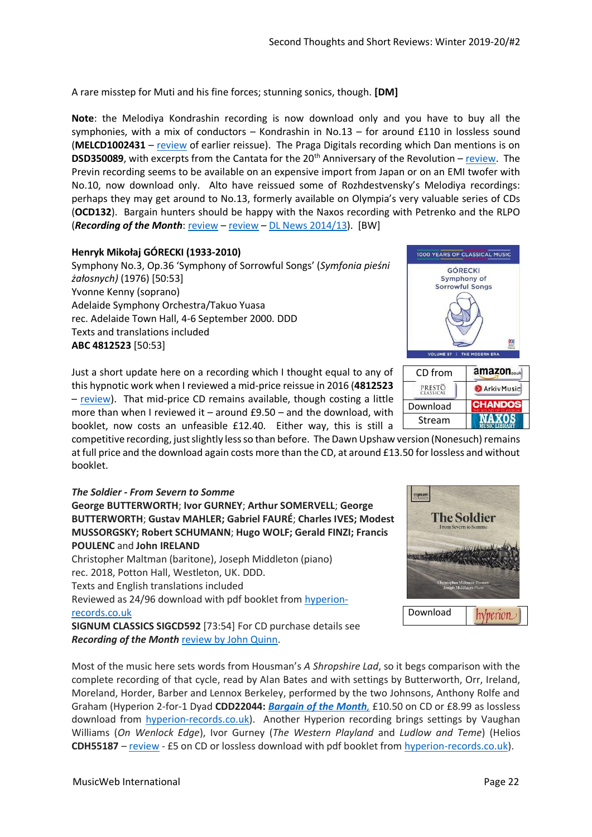A rare misstep for Muti and his fine forces; stunning sonics, though. **[DM]**

**Note**: the Melodiya Kondrashin recording is now download only and you have to buy all the symphonies, with a mix of conductors – Kondrashin in No.13 – for around £110 in lossless sound (**MELCD1002431** – [review](http://www.musicweb-international.com/classrev/2007/Feb07/Shostakovich_Kondrashin_MELCD1010165.htm) of earlier reissue). The Praga Digitals recording which Dan mentions is on **DSD350089**, with excerpts from the Cantata for the 20<sup>th</sup> Anniversary of the Revolution – [review.](http://www.musicweb-international.com/classrev/2014/Aug14/Shostakovich_sy13_350089.htm) The Previn recording seems to be available on an expensive import from Japan or on an EMI twofer with No.10, now download only. Alto have reissued some of Rozhdestvensky's Melodiya recordings: perhaps they may get around to No.13, formerly available on Olympia's very valuable series of CDs (**OCD132**). Bargain hunters should be happy with the Naxos recording with Petrenko and the RLPO (*Recording of the Month*: [review](http://www.musicweb-international.com/classrev/2014/Dec14/Shostakovich_sy13_8573218.htm) – [review](http://www.musicweb-international.com/classrev/2014/Oct14/Shostakovich_sy13_8573218.htm) – [DL News 2014/13\)](http://www.musicweb-international.com/classrev/2014/Oct14/DL_News_2014_13.htm). [BW]

### **Henryk Mikołaj GÓRECKI (1933-2010)**

Symphony No.3, Op.36 'Symphony of Sorrowful Songs' (*Symfonia pieśni żałosnych)* (1976) [50:53] Yvonne Kenny (soprano) Adelaide Symphony Orchestra/Takuo Yuasa rec. Adelaide Town Hall, 4-6 September 2000. DDD Texts and translations included **ABC 4812523** [50:53]



amazon....

**D** Arkiv Music **CHANDOS NAXOS** 

CD from

**PRESTO** 

Stream

Just a short update here on a recording which I thought equal to any of this hypnotic work when I reviewed a mid-price reissue in 2016 (**4812523** – [review\)](http://www.musicweb-international.com/classrev/2016/Nov/Gorecki_sy3_4812523.htm). That mid-price CD remains available, though costing a little more than when I reviewed it – around £9.50 – and the download, with booklet, now costs an unfeasible £12.40. Either way, this is still a Download

competitive recording, just slightly less so than before. The Dawn Upshaw version (Nonesuch) remains at full price and the download again costs more than the CD, at around £13.50 for lossless and without booklet.

### *The Soldier - From Severn to Somme*



**George BUTTERWORTH**; **Ivor GURNEY**; **Arthur SOMERVELL**; **George BUTTERWORTH**; **Gustav MAHLER; Gabriel FAURÉ**; **Charles IVES; Modest MUSSORGSKY; Robert SCHUMANN**; **Hugo WOLF; Gerald FINZI; Francis POULENC** and **John IRELAND**

Christopher Maltman (baritone), Joseph Middleton (piano) rec. 2018, Potton Hall, Westleton, UK. DDD. Texts and English translations included Reviewed as 24/96 download with pdf booklet from [hyperion](https://www.hyperion-records.co.uk/dc.asp?dc=D_SIGCD592)[records.co.uk](https://www.hyperion-records.co.uk/dc.asp?dc=D_SIGCD592)

**SIGNUM CLASSICS SIGCD592** [73:54] For CD purchase details see *Recording of the Month* [review by John Quinn.](http://www.musicweb-international.com/classrev/2019/Dec/Soldier_SIGCD592.htm)

Most of the music here sets words from Housman's *A Shropshire Lad*, so it begs comparison with the complete recording of that cycle, read by Alan Bates and with settings by Butterworth, Orr, Ireland, Moreland, Horder, Barber and Lennox Berkeley, performed by the two Johnsons, Anthony Rolfe and Graham (Hyperion 2-for-1 Dyad **CDD22044:** *[Bargain of the Month](http://www.musicweb-international.com/classrev/2002/Feb02/AShropshireLad.htm),* £10.50 on CD or £8.99 as lossless download from [hyperion-records.co.uk\)](https://www.hyperion-records.co.uk/dc.asp?dc=D_CDD22044). Another Hyperion recording brings settings by Vaughan Williams (*On Wenlock Edge*), Ivor Gurney (*The Western Playland* and *Ludlow and Teme*) (Helios **CDH55187** – [review](http://www.musicweb-international.com/classrev/2005/Jan05/Gurney_songs.htm) - £5 on CD or lossless download with pdf booklet from [hyperion-records.co.uk\)](https://www.hyperion-records.co.uk/dc.asp?dc=D_CDH55187).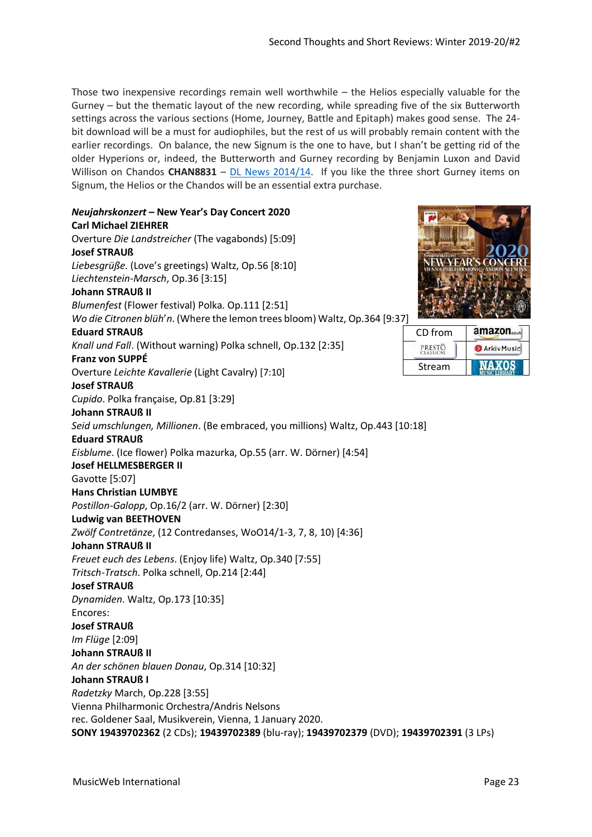Those two inexpensive recordings remain well worthwhile – the Helios especially valuable for the Gurney – but the thematic layout of the new recording, while spreading five of the six Butterworth settings across the various sections (Home, Journey, Battle and Epitaph) makes good sense. The 24 bit download will be a must for audiophiles, but the rest of us will probably remain content with the earlier recordings. On balance, the new Signum is the one to have, but I shan't be getting rid of the older Hyperions or, indeed, the Butterworth and Gurney recording by Benjamin Luxon and David Willison on Chandos CHAN8831 - [DL News 2014/14.](http://www.musicweb-international.com/classrev/2014/Nov14/DL_News_2014_14.htm) If you like the three short Gurney items on Signum, the Helios or the Chandos will be an essential extra purchase.

*Neujahrskonzert* **– New Year's Day Concert 2020 Carl Michael ZIEHRER** Overture *Die Landstreicher* (The vagabonds) [5:09] **Josef STRAUß** *Liebesgrüße*. (Love's greetings) Waltz, Op.56 [8:10] *Liechtenstein-Marsch*, Op.36 [3:15] **Johann STRAUß II** *Blumenfest* (Flower festival) Polka. Op.111 [2:51] *Wo die Citronen blüh*'*n*. (Where the lemon trees bloom) Waltz, Op.364 [9:37] **Eduard STRAUß** CD from amazon. *Knall und Fall*. (Without warning) Polka schnell, Op.132 [2:35] **PRESTO D** Arkiv Music **Franz von SUPPÉ VAXO** StreamOverture *Leichte Kavallerie* (Light Cavalry) [7:10] **Josef STRAUß** *Cupido*. Polka française, Op.81 [3:29] **Johann STRAUß II** *Seid umschlungen, Millionen*. (Be embraced, you millions) Waltz, Op.443 [10:18] **Eduard STRAUß** *Eisblume*. (Ice flower) Polka mazurka, Op.55 (arr. W. Dörner) [4:54] **Josef HELLMESBERGER II** Gavotte [5:07] **Hans Christian LUMBYE** *Postillon-Galopp*, Op.16/2 (arr. W. Dörner) [2:30] **Ludwig van BEETHOVEN** *Zwölf Contretänze*, (12 Contredanses, WoO14/1-3, 7, 8, 10) [4:36] **Johann STRAUß II** *Freuet euch des Lebens*. (Enjoy life) Waltz, Op.340 [7:55] *Tritsch-Tratsch*. Polka schnell, Op.214 [2:44] **Josef STRAUß** *Dynamiden*. Waltz, Op.173 [10:35] Encores: **Josef STRAUß** *Im Flüge* [2:09] **Johann STRAUß II** *An der schönen blauen Donau*, Op.314 [10:32] **Johann STRAUß I** *Radetzky* March, Op.228 [3:55] Vienna Philharmonic Orchestra/Andris Nelsons rec. Goldener Saal, Musikverein, Vienna, 1 January 2020. **SONY 19439702362** (2 CDs); **19439702389** (blu-ray); **19439702379** (DVD); **19439702391** (3 LPs)